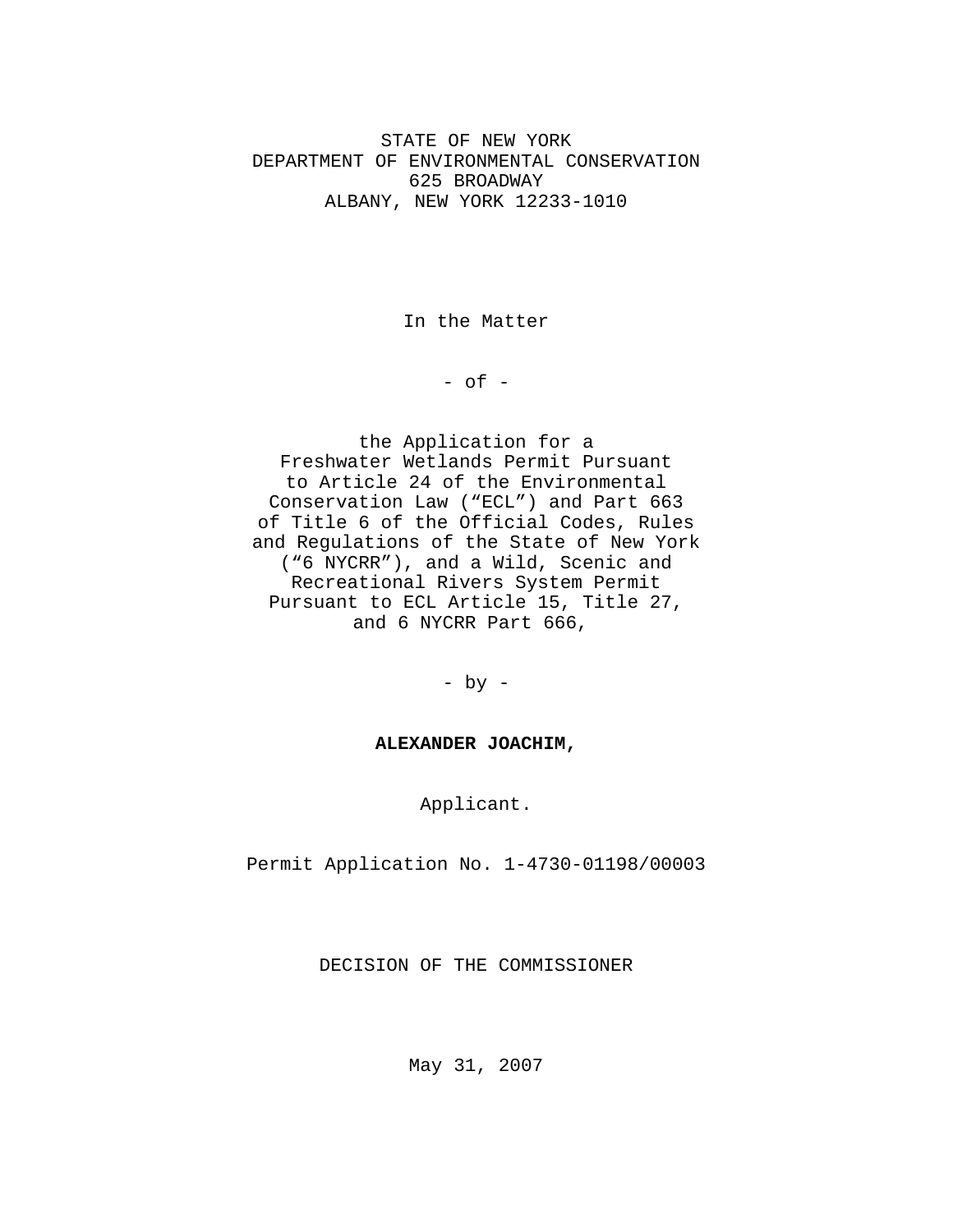STATE OF NEW YORK DEPARTMENT OF ENVIRONMENTAL CONSERVATION 625 BROADWAY ALBANY, NEW YORK 12233-1010

In the Matter

 $-$  of  $-$ 

the Application for a Freshwater Wetlands Permit Pursuant to Article 24 of the Environmental Conservation Law ("ECL") and Part 663 of Title 6 of the Official Codes, Rules and Regulations of the State of New York ("6 NYCRR"), and a Wild, Scenic and Recreational Rivers System Permit Pursuant to ECL Article 15, Title 27, and 6 NYCRR Part 666,

- by -

# **ALEXANDER JOACHIM,**

Applicant.

Permit Application No. 1-4730-01198/00003

DECISION OF THE COMMISSIONER

May 31, 2007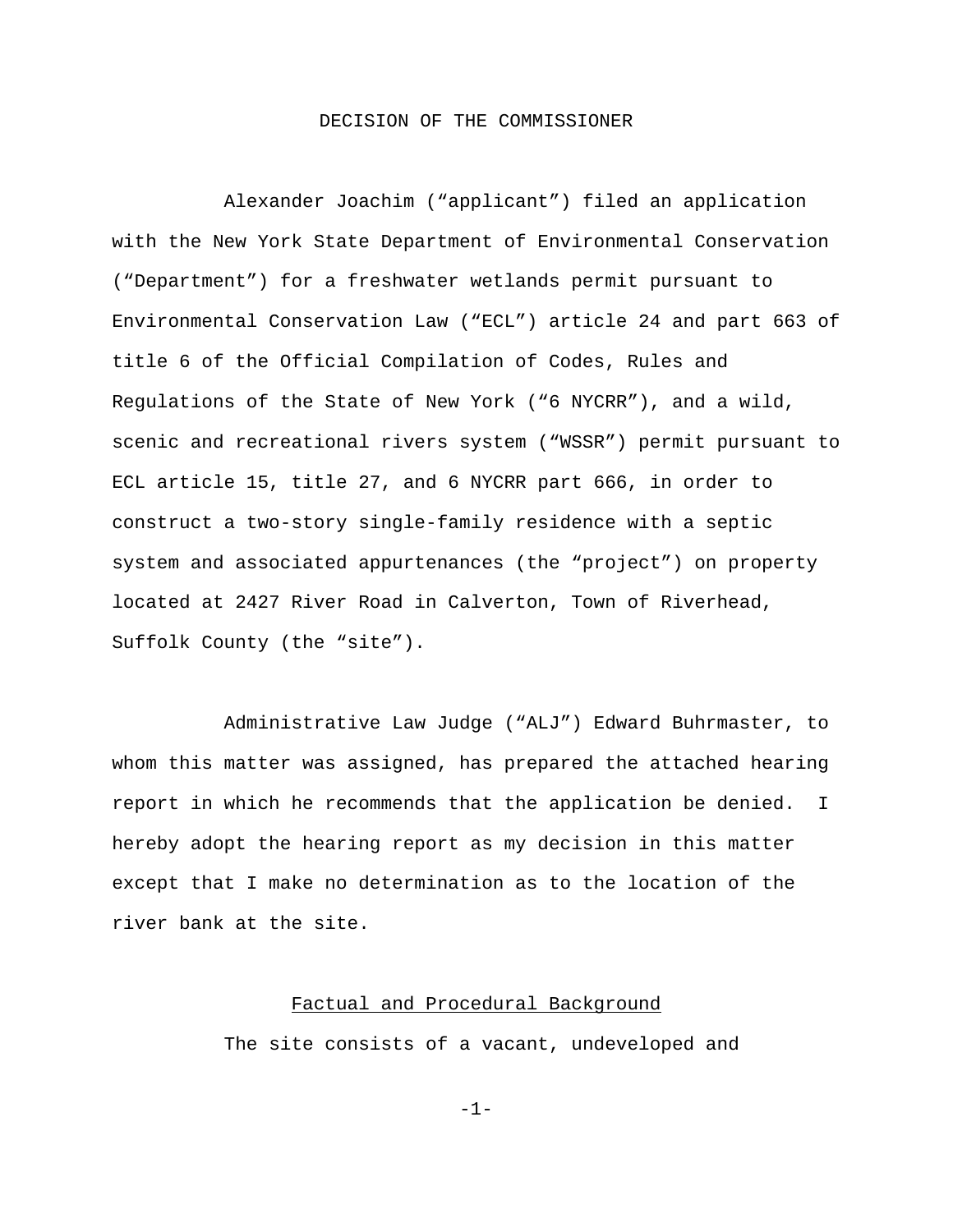# DECISION OF THE COMMISSIONER

Alexander Joachim ("applicant") filed an application with the New York State Department of Environmental Conservation ("Department") for a freshwater wetlands permit pursuant to Environmental Conservation Law ("ECL") article 24 and part 663 of title 6 of the Official Compilation of Codes, Rules and Regulations of the State of New York ("6 NYCRR"), and a wild, scenic and recreational rivers system ("WSSR") permit pursuant to ECL article 15, title 27, and 6 NYCRR part 666, in order to construct a two-story single-family residence with a septic system and associated appurtenances (the "project") on property located at 2427 River Road in Calverton, Town of Riverhead, Suffolk County (the "site").

Administrative Law Judge ("ALJ") Edward Buhrmaster, to whom this matter was assigned, has prepared the attached hearing report in which he recommends that the application be denied. I hereby adopt the hearing report as my decision in this matter except that I make no determination as to the location of the river bank at the site.

# Factual and Procedural Background

The site consists of a vacant, undeveloped and

-1-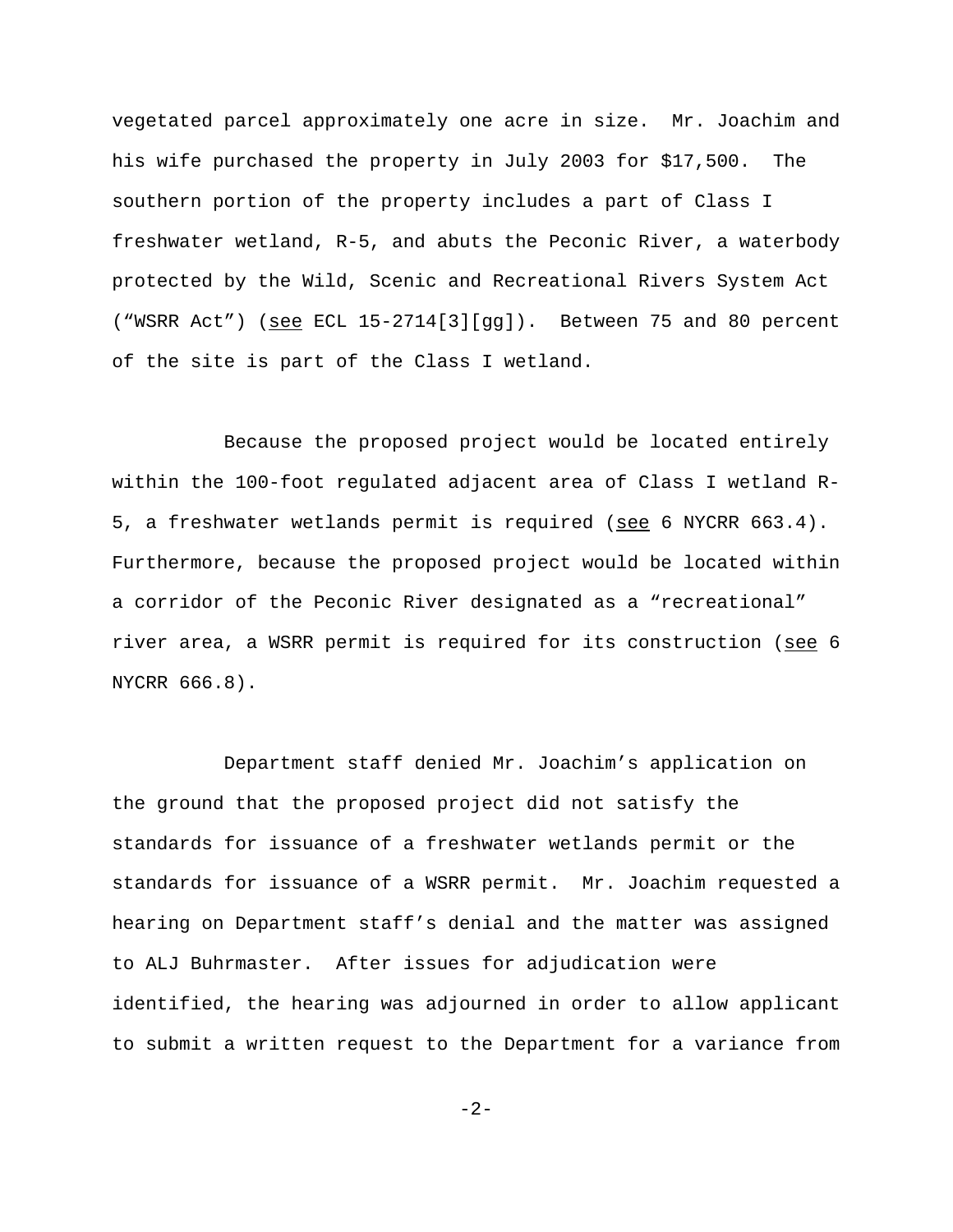vegetated parcel approximately one acre in size. Mr. Joachim and his wife purchased the property in July 2003 for \$17,500. The southern portion of the property includes a part of Class I freshwater wetland, R-5, and abuts the Peconic River, a waterbody protected by the Wild, Scenic and Recreational Rivers System Act ("WSRR Act") (see ECL  $15-2714[3][gg]$ ). Between 75 and 80 percent of the site is part of the Class I wetland.

Because the proposed project would be located entirely within the 100-foot regulated adjacent area of Class I wetland R-5, a freshwater wetlands permit is required (see 6 NYCRR 663.4). Furthermore, because the proposed project would be located within a corridor of the Peconic River designated as a "recreational" river area, a WSRR permit is required for its construction (see 6 NYCRR 666.8).

Department staff denied Mr. Joachim's application on the ground that the proposed project did not satisfy the standards for issuance of a freshwater wetlands permit or the standards for issuance of a WSRR permit. Mr. Joachim requested a hearing on Department staff's denial and the matter was assigned to ALJ Buhrmaster. After issues for adjudication were identified, the hearing was adjourned in order to allow applicant to submit a written request to the Department for a variance from

-2-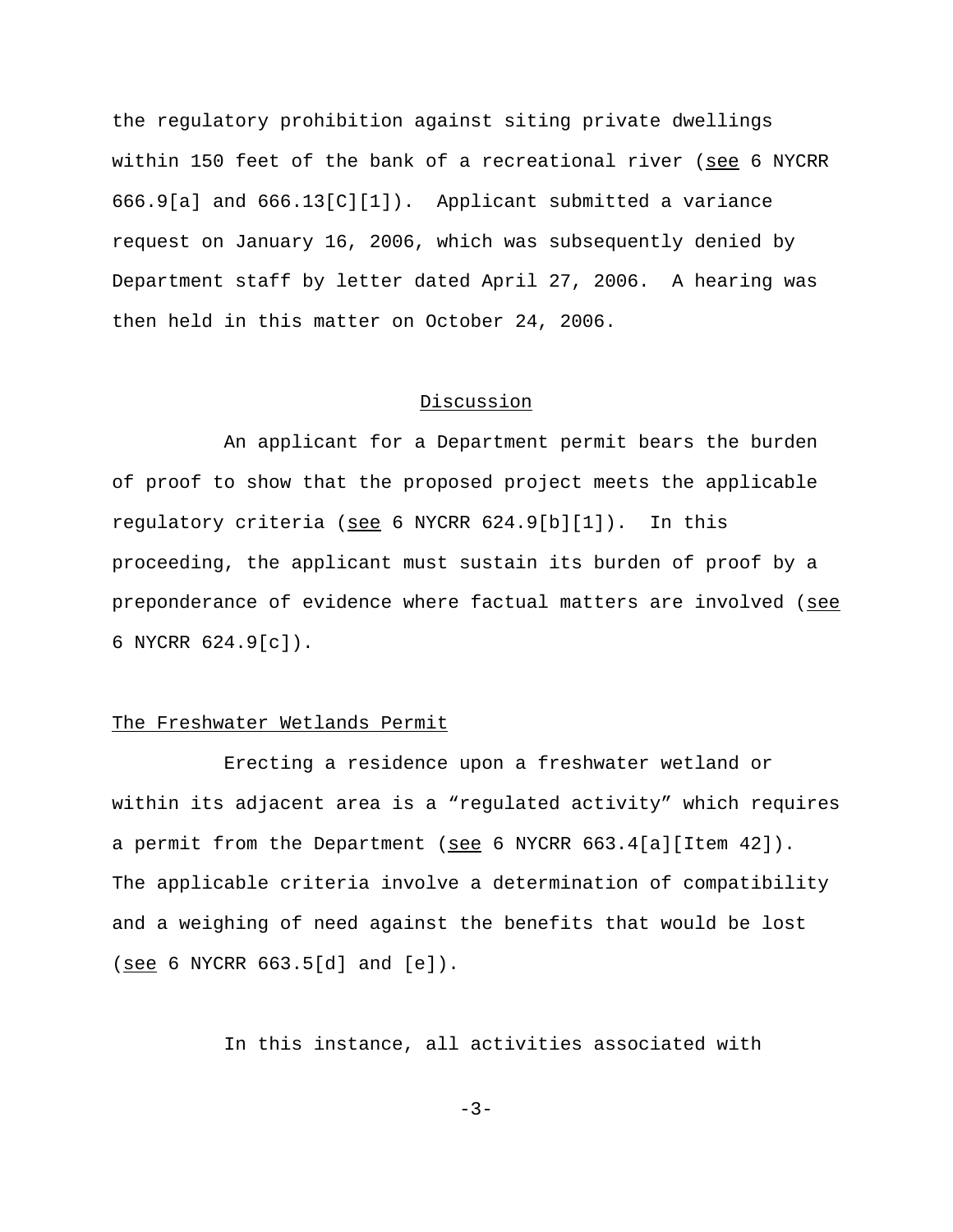the regulatory prohibition against siting private dwellings within 150 feet of the bank of a recreational river (see 6 NYCRR 666.9[a] and 666.13[C][1]). Applicant submitted a variance request on January 16, 2006, which was subsequently denied by Department staff by letter dated April 27, 2006. A hearing was then held in this matter on October 24, 2006.

# Discussion

An applicant for a Department permit bears the burden of proof to show that the proposed project meets the applicable regulatory criteria (see 6 NYCRR 624.9[b][1]). In this proceeding, the applicant must sustain its burden of proof by a preponderance of evidence where factual matters are involved (see 6 NYCRR 624.9[c]).

# The Freshwater Wetlands Permit

Erecting a residence upon a freshwater wetland or within its adjacent area is a "regulated activity" which requires a permit from the Department (see 6 NYCRR  $663.4[a][$ Item  $42]$ ). The applicable criteria involve a determination of compatibility and a weighing of need against the benefits that would be lost  $(see 6 NYCRR 663.5[d] and [e]).$ 

In this instance, all activities associated with

 $-3-$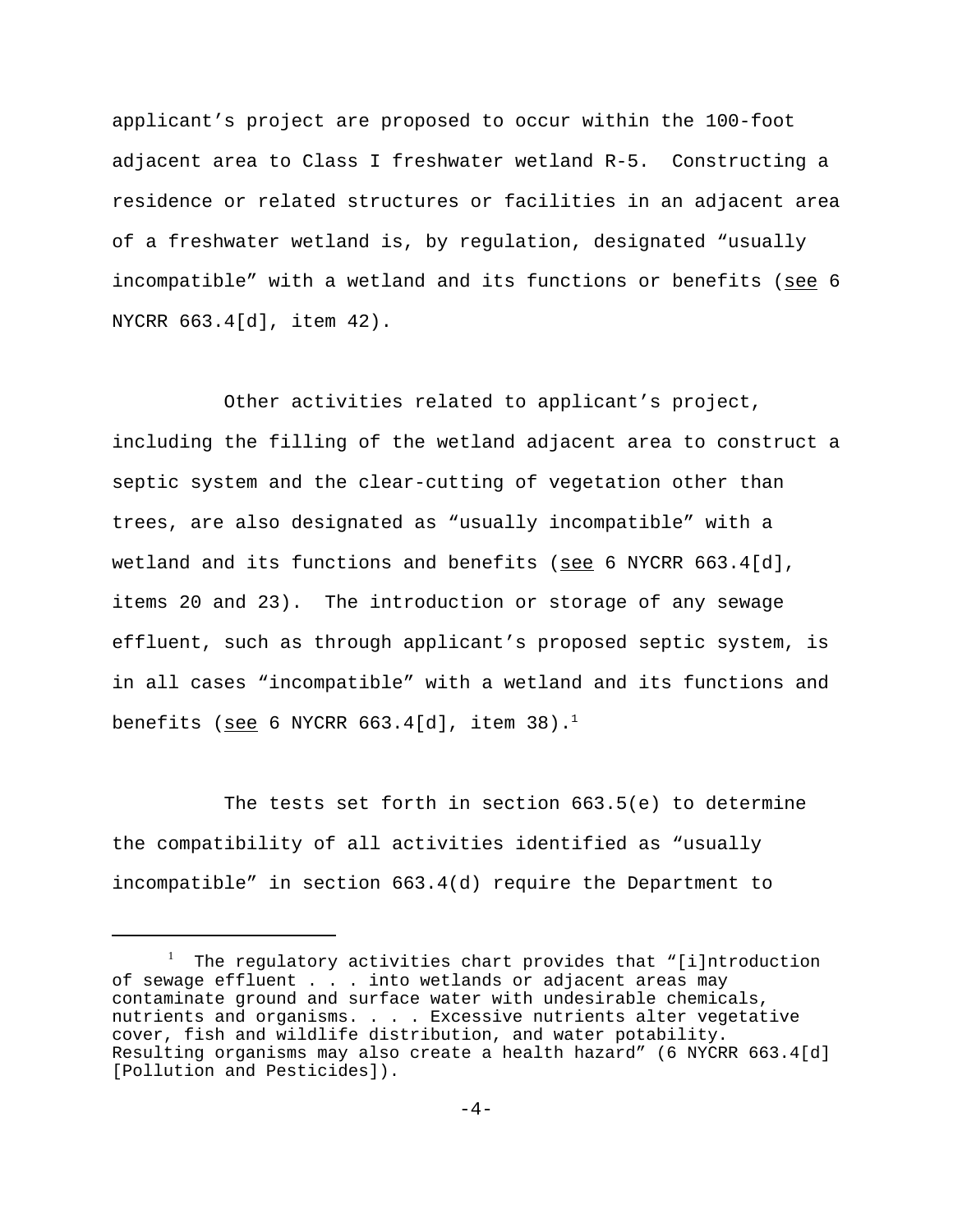applicant's project are proposed to occur within the 100-foot adjacent area to Class I freshwater wetland R-5. Constructing a residence or related structures or facilities in an adjacent area of a freshwater wetland is, by regulation, designated "usually incompatible" with a wetland and its functions or benefits (see 6 NYCRR 663.4[d], item 42).

Other activities related to applicant's project, including the filling of the wetland adjacent area to construct a septic system and the clear-cutting of vegetation other than trees, are also designated as "usually incompatible" with a wetland and its functions and benefits (see 6 NYCRR  $663.4[d]$ , items 20 and 23). The introduction or storage of any sewage effluent, such as through applicant's proposed septic system, is in all cases "incompatible" with a wetland and its functions and benefits (see 6 NYCRR  $663.4[d]$ , item  $38$ ).<sup>1</sup>

The tests set forth in section 663.5(e) to determine the compatibility of all activities identified as "usually incompatible" in section 663.4(d) require the Department to

<sup>&</sup>lt;sup>1</sup> The regulatory activities chart provides that "[i]ntroduction of sewage effluent . . . into wetlands or adjacent areas may contaminate ground and surface water with undesirable chemicals, nutrients and organisms. . . . Excessive nutrients alter vegetative cover, fish and wildlife distribution, and water potability. Resulting organisms may also create a health hazard" (6 NYCRR 663.4[d] [Pollution and Pesticides]).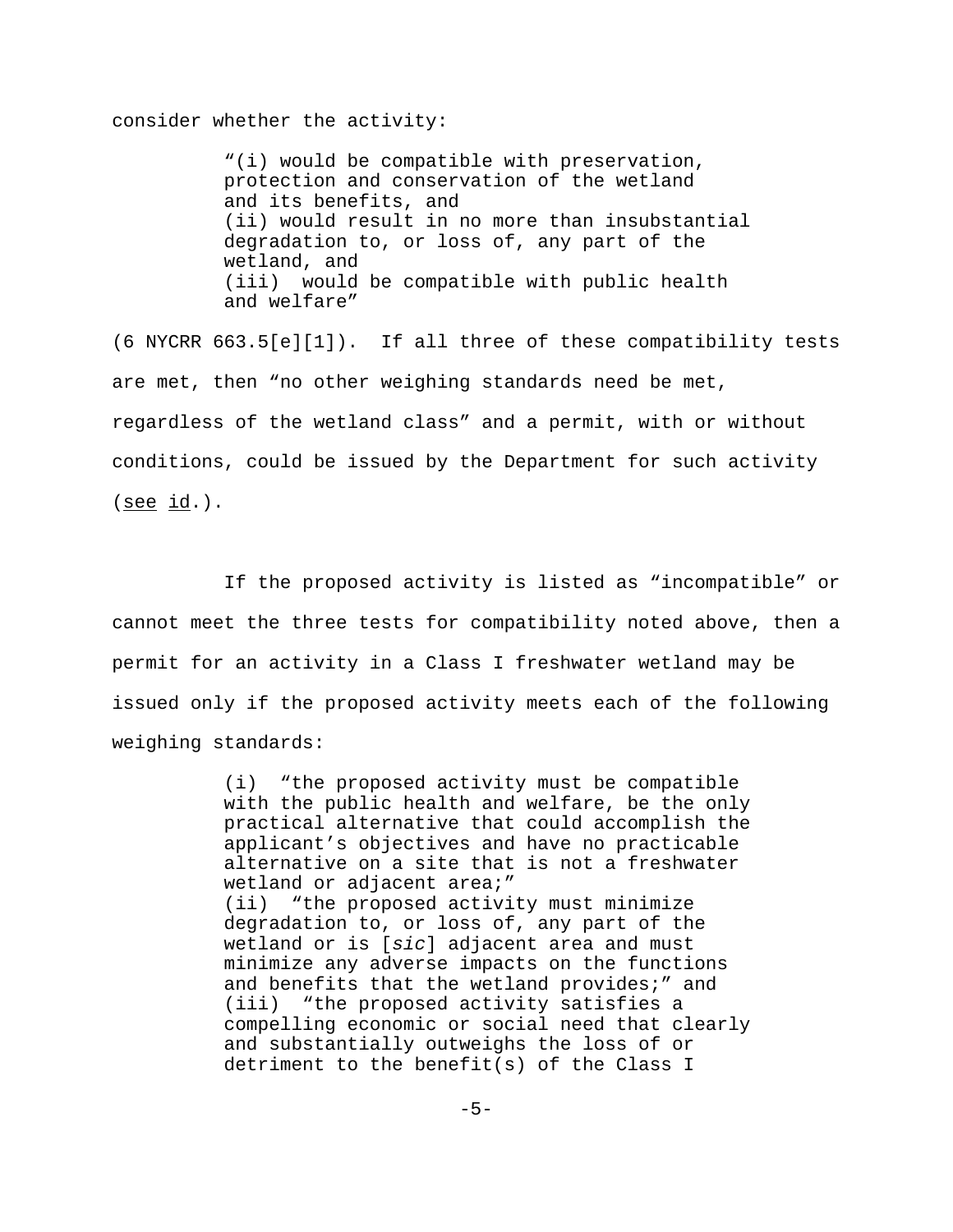consider whether the activity:

"(i) would be compatible with preservation, protection and conservation of the wetland and its benefits, and (ii) would result in no more than insubstantial degradation to, or loss of, any part of the wetland, and (iii) would be compatible with public health and welfare"

(6 NYCRR 663.5[e][1]). If all three of these compatibility tests are met, then "no other weighing standards need be met, regardless of the wetland class" and a permit, with or without conditions, could be issued by the Department for such activity  $(see id.)$ .

If the proposed activity is listed as "incompatible" or cannot meet the three tests for compatibility noted above, then a permit for an activity in a Class I freshwater wetland may be issued only if the proposed activity meets each of the following weighing standards:

> (i) "the proposed activity must be compatible with the public health and welfare, be the only practical alternative that could accomplish the applicant's objectives and have no practicable alternative on a site that is not a freshwater wetland or adjacent area;" (ii) "the proposed activity must minimize degradation to, or loss of, any part of the wetland or is [*sic*] adjacent area and must minimize any adverse impacts on the functions and benefits that the wetland provides;" and (iii) "the proposed activity satisfies a compelling economic or social need that clearly and substantially outweighs the loss of or detriment to the benefit(s) of the Class I

> > $-5-$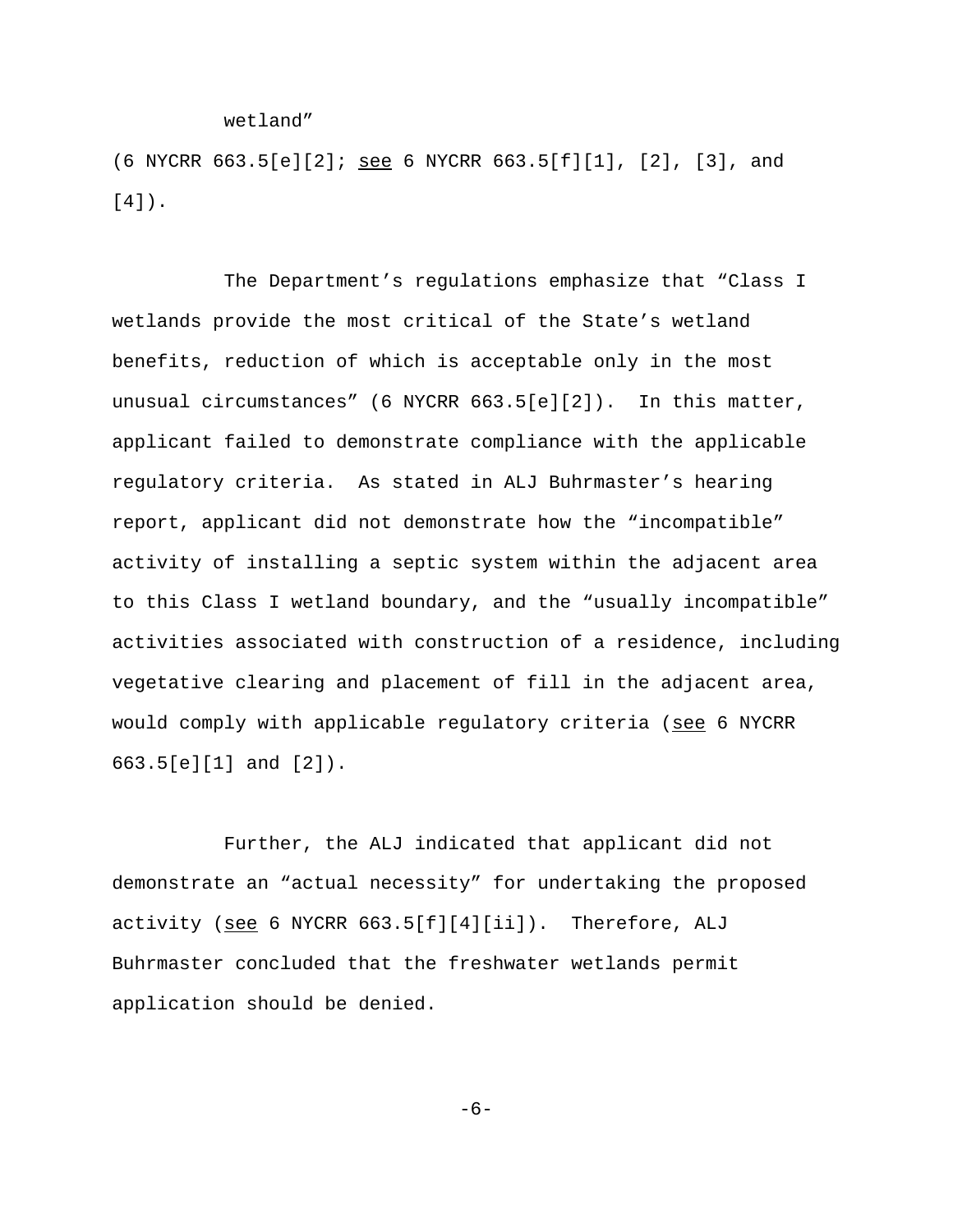wetland"

(6 NYCRR  $663.5[e][2]$ ; see 6 NYCRR  $663.5[f][1]$ , [2], [3], and [4]).

The Department's regulations emphasize that "Class I wetlands provide the most critical of the State's wetland benefits, reduction of which is acceptable only in the most unusual circumstances" (6 NYCRR 663.5[e][2]). In this matter, applicant failed to demonstrate compliance with the applicable regulatory criteria. As stated in ALJ Buhrmaster's hearing report, applicant did not demonstrate how the "incompatible" activity of installing a septic system within the adjacent area to this Class I wetland boundary, and the "usually incompatible" activities associated with construction of a residence, including vegetative clearing and placement of fill in the adjacent area, would comply with applicable regulatory criteria (see 6 NYCRR 663.5[e][1] and [2]).

Further, the ALJ indicated that applicant did not demonstrate an "actual necessity" for undertaking the proposed activity (see 6 NYCRR 663.5[f][4][ii]). Therefore, ALJ Buhrmaster concluded that the freshwater wetlands permit application should be denied.

-6-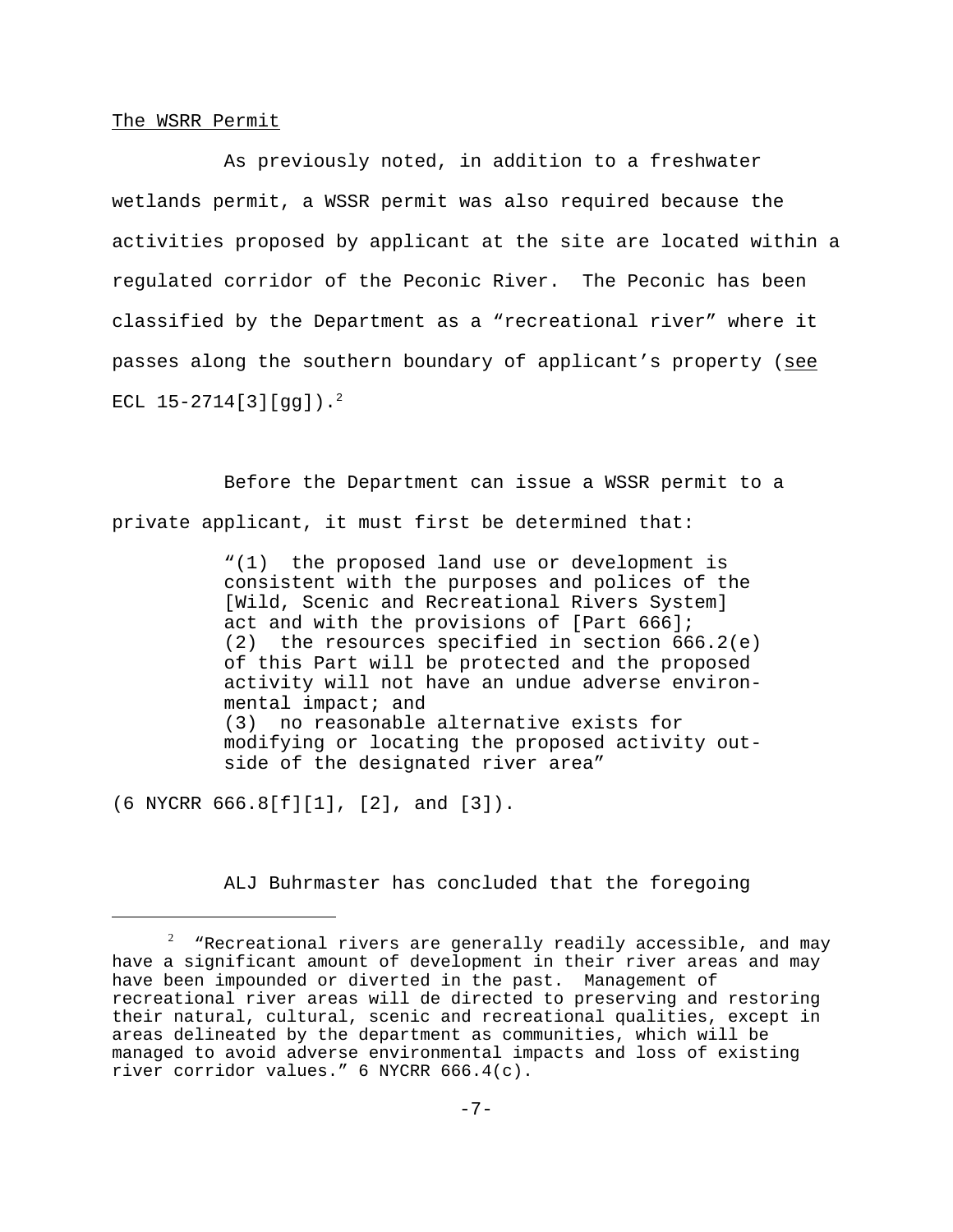### The WSRR Permit

As previously noted, in addition to a freshwater wetlands permit, a WSSR permit was also required because the activities proposed by applicant at the site are located within a regulated corridor of the Peconic River. The Peconic has been classified by the Department as a "recreational river" where it passes along the southern boundary of applicant's property (see ECL  $15-2714[3][qq]$ ).<sup>2</sup>

Before the Department can issue a WSSR permit to a private applicant, it must first be determined that:

> "(1) the proposed land use or development is consistent with the purposes and polices of the [Wild, Scenic and Recreational Rivers System] act and with the provisions of [Part 666]; (2) the resources specified in section 666.2(e) of this Part will be protected and the proposed activity will not have an undue adverse environmental impact; and (3) no reasonable alternative exists for modifying or locating the proposed activity outside of the designated river area"

(6 NYCRR 666.8[f][1], [2], and [3]).

ALJ Buhrmaster has concluded that the foregoing

 $^{\rm 2}$   $\,$  "Recreational rivers are generally readily accessible, and may have a significant amount of development in their river areas and may have been impounded or diverted in the past. Management of recreational river areas will de directed to preserving and restoring their natural, cultural, scenic and recreational qualities, except in areas delineated by the department as communities, which will be managed to avoid adverse environmental impacts and loss of existing river corridor values." 6 NYCRR 666.4(c).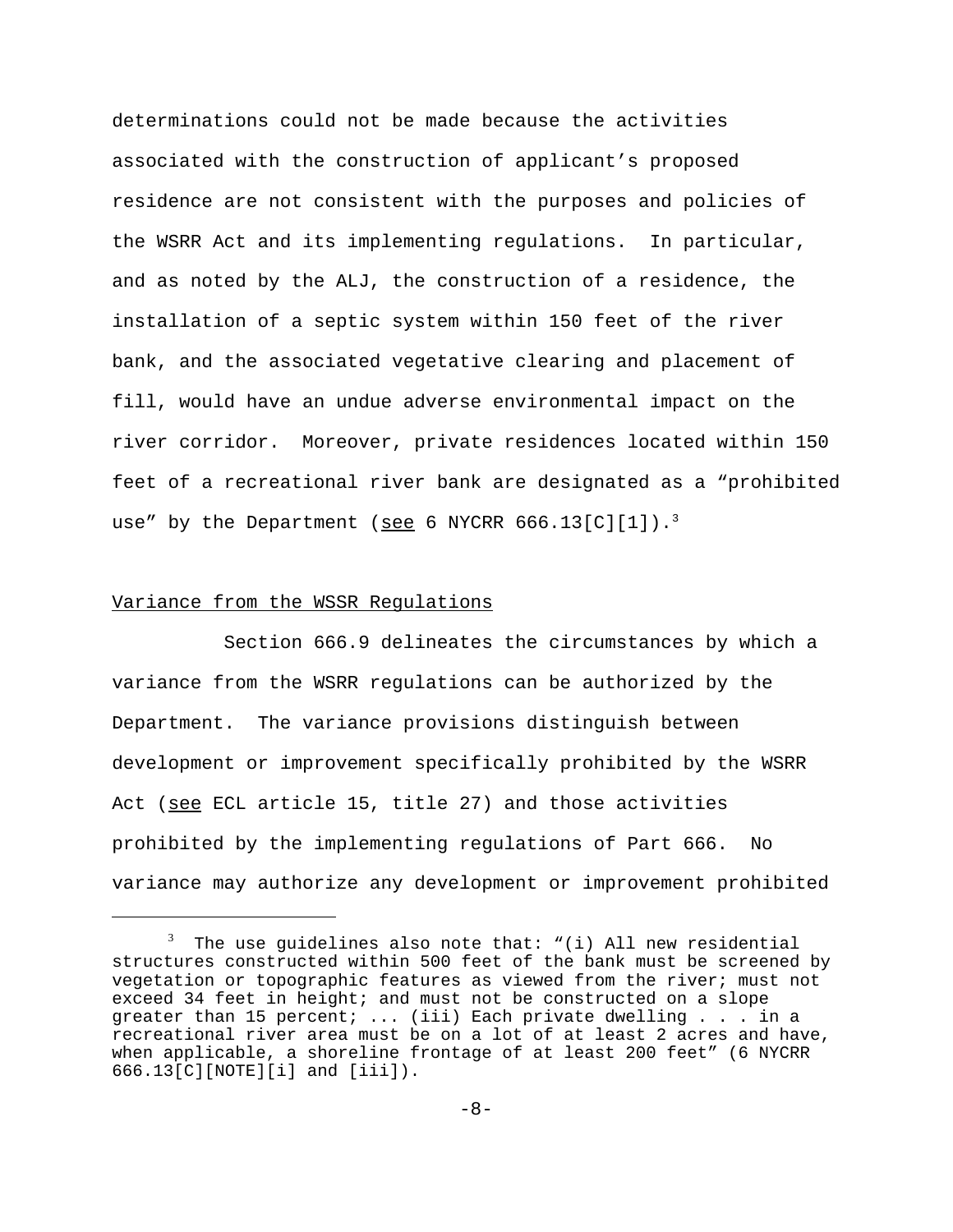determinations could not be made because the activities associated with the construction of applicant's proposed residence are not consistent with the purposes and policies of the WSRR Act and its implementing regulations. In particular, and as noted by the ALJ, the construction of a residence, the installation of a septic system within 150 feet of the river bank, and the associated vegetative clearing and placement of fill, would have an undue adverse environmental impact on the river corridor. Moreover, private residences located within 150 feet of a recreational river bank are designated as a "prohibited use" by the Department (see 6 NYCRR  $666.13$ [C][1]).<sup>3</sup>

## Variance from the WSSR Regulations

Section 666.9 delineates the circumstances by which a variance from the WSRR regulations can be authorized by the Department. The variance provisions distinguish between development or improvement specifically prohibited by the WSRR Act (see ECL article 15, title 27) and those activities prohibited by the implementing regulations of Part 666. No variance may authorize any development or improvement prohibited

 $^3$  The use guidelines also note that: "(i) All new residential structures constructed within 500 feet of the bank must be screened by vegetation or topographic features as viewed from the river; must not exceed 34 feet in height; and must not be constructed on a slope greater than 15 percent; ... (iii) Each private dwelling . . . in a recreational river area must be on a lot of at least 2 acres and have, when applicable, a shoreline frontage of at least 200 feet" (6 NYCRR 666.13[C][NOTE][i] and [iii]).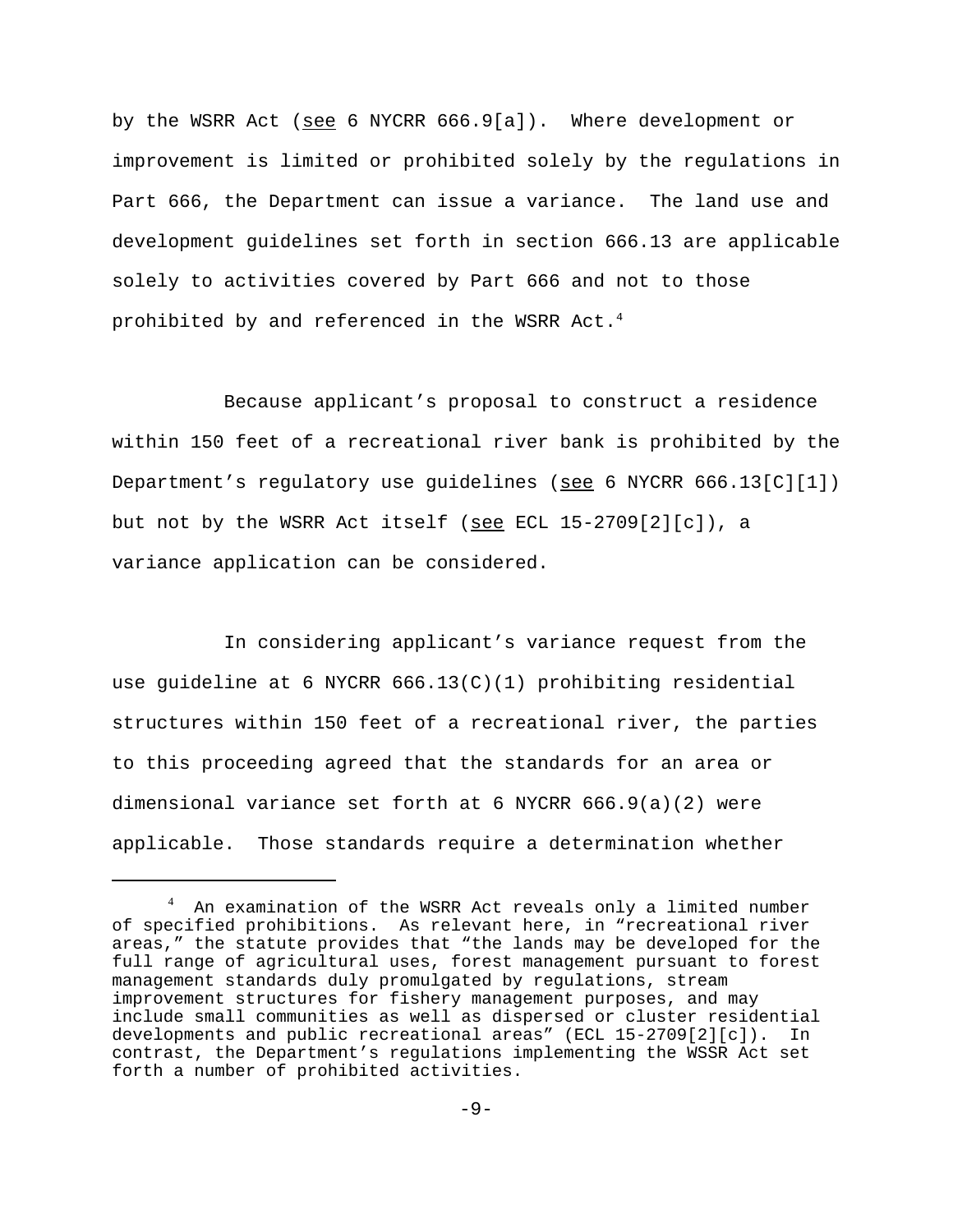by the WSRR Act (see 6 NYCRR 666.9[a]). Where development or improvement is limited or prohibited solely by the regulations in Part 666, the Department can issue a variance. The land use and development guidelines set forth in section 666.13 are applicable solely to activities covered by Part 666 and not to those prohibited by and referenced in the WSRR Act. $4$ 

Because applicant's proposal to construct a residence within 150 feet of a recreational river bank is prohibited by the Department's regulatory use guidelines (see 6 NYCRR 666.13[C][1]) but not by the WSRR Act itself (see ECL 15-2709[2][c]), a variance application can be considered.

In considering applicant's variance request from the use quideline at 6 NYCRR  $666.13(C)(1)$  prohibiting residential structures within 150 feet of a recreational river, the parties to this proceeding agreed that the standards for an area or dimensional variance set forth at 6 NYCRR 666.9(a)(2) were applicable. Those standards require a determination whether

 $^4$  An examination of the WSRR Act reveals only a limited number of specified prohibitions. As relevant here, in "recreational river areas," the statute provides that "the lands may be developed for the full range of agricultural uses, forest management pursuant to forest management standards duly promulgated by regulations, stream improvement structures for fishery management purposes, and may include small communities as well as dispersed or cluster residential developments and public recreational areas" (ECL 15-2709[2][c]). In contrast, the Department's regulations implementing the WSSR Act set forth a number of prohibited activities.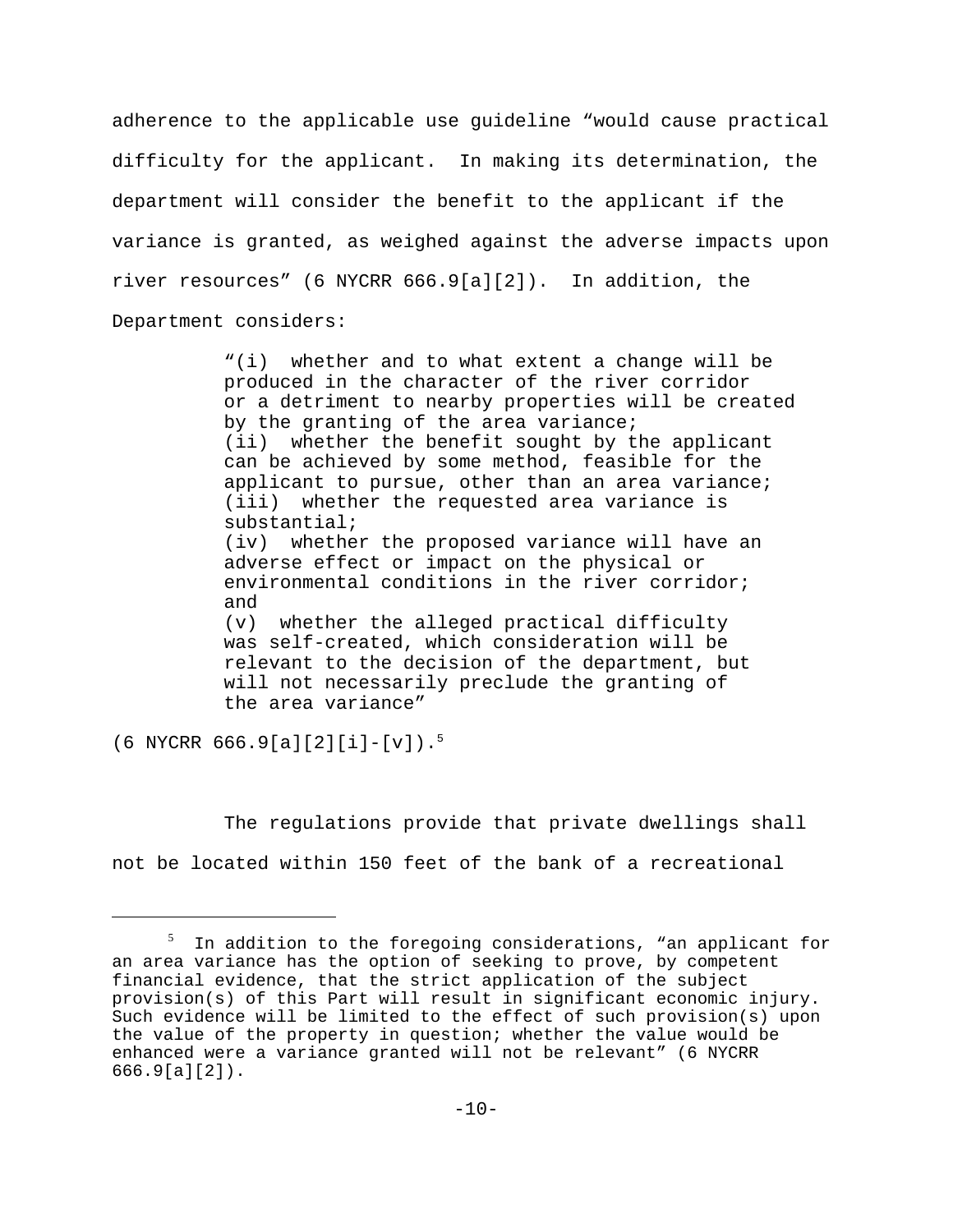adherence to the applicable use guideline "would cause practical difficulty for the applicant. In making its determination, the department will consider the benefit to the applicant if the variance is granted, as weighed against the adverse impacts upon river resources" (6 NYCRR 666.9[a][2]). In addition, the Department considers:

> "(i) whether and to what extent a change will be produced in the character of the river corridor or a detriment to nearby properties will be created by the granting of the area variance; (ii) whether the benefit sought by the applicant can be achieved by some method, feasible for the applicant to pursue, other than an area variance; (iii) whether the requested area variance is substantial; (iv) whether the proposed variance will have an adverse effect or impact on the physical or environmental conditions in the river corridor; and (v) whether the alleged practical difficulty was self-created, which consideration will be relevant to the decision of the department, but will not necessarily preclude the granting of the area variance"

(6 NYCRR 666.9[a][2][i]-[v]).<sup>5</sup>

The regulations provide that private dwellings shall not be located within 150 feet of the bank of a recreational

 $^5$  In addition to the foregoing considerations, "an applicant for an area variance has the option of seeking to prove, by competent financial evidence, that the strict application of the subject provision(s) of this Part will result in significant economic injury. Such evidence will be limited to the effect of such provision(s) upon the value of the property in question; whether the value would be enhanced were a variance granted will not be relevant" (6 NYCRR 666.9[a][2]).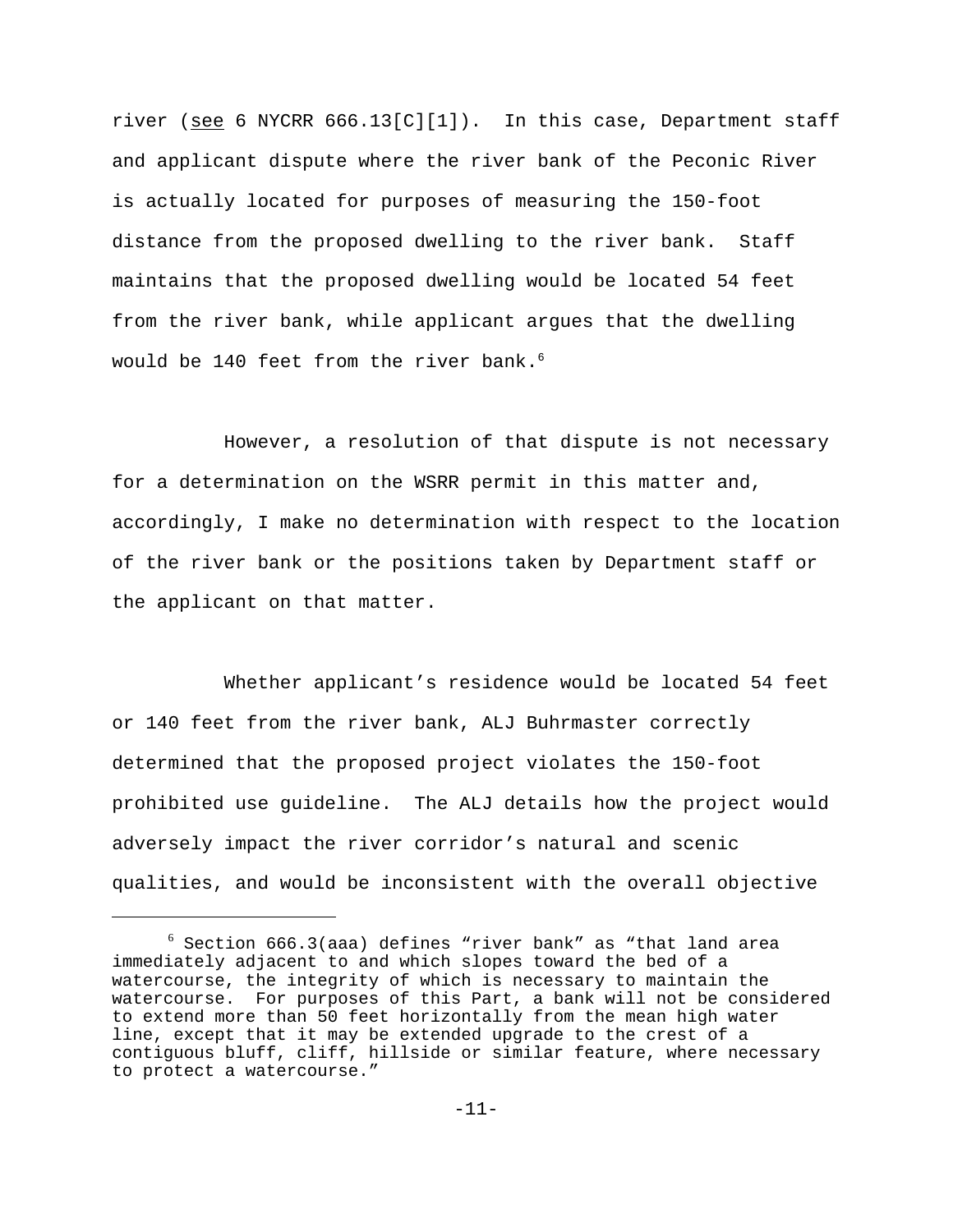river (see 6 NYCRR  $666.13[C][1])$ . In this case, Department staff and applicant dispute where the river bank of the Peconic River is actually located for purposes of measuring the 150-foot distance from the proposed dwelling to the river bank. Staff maintains that the proposed dwelling would be located 54 feet from the river bank, while applicant argues that the dwelling would be 140 feet from the river bank. $^6$ 

However, a resolution of that dispute is not necessary for a determination on the WSRR permit in this matter and, accordingly, I make no determination with respect to the location of the river bank or the positions taken by Department staff or the applicant on that matter.

Whether applicant's residence would be located 54 feet or 140 feet from the river bank, ALJ Buhrmaster correctly determined that the proposed project violates the 150-foot prohibited use guideline. The ALJ details how the project would adversely impact the river corridor's natural and scenic qualities, and would be inconsistent with the overall objective

 $^6$  Section 666.3(aaa) defines "river bank" as "that land area immediately adjacent to and which slopes toward the bed of a watercourse, the integrity of which is necessary to maintain the watercourse. For purposes of this Part, a bank will not be considered to extend more than 50 feet horizontally from the mean high water line, except that it may be extended upgrade to the crest of a contiguous bluff, cliff, hillside or similar feature, where necessary to protect a watercourse."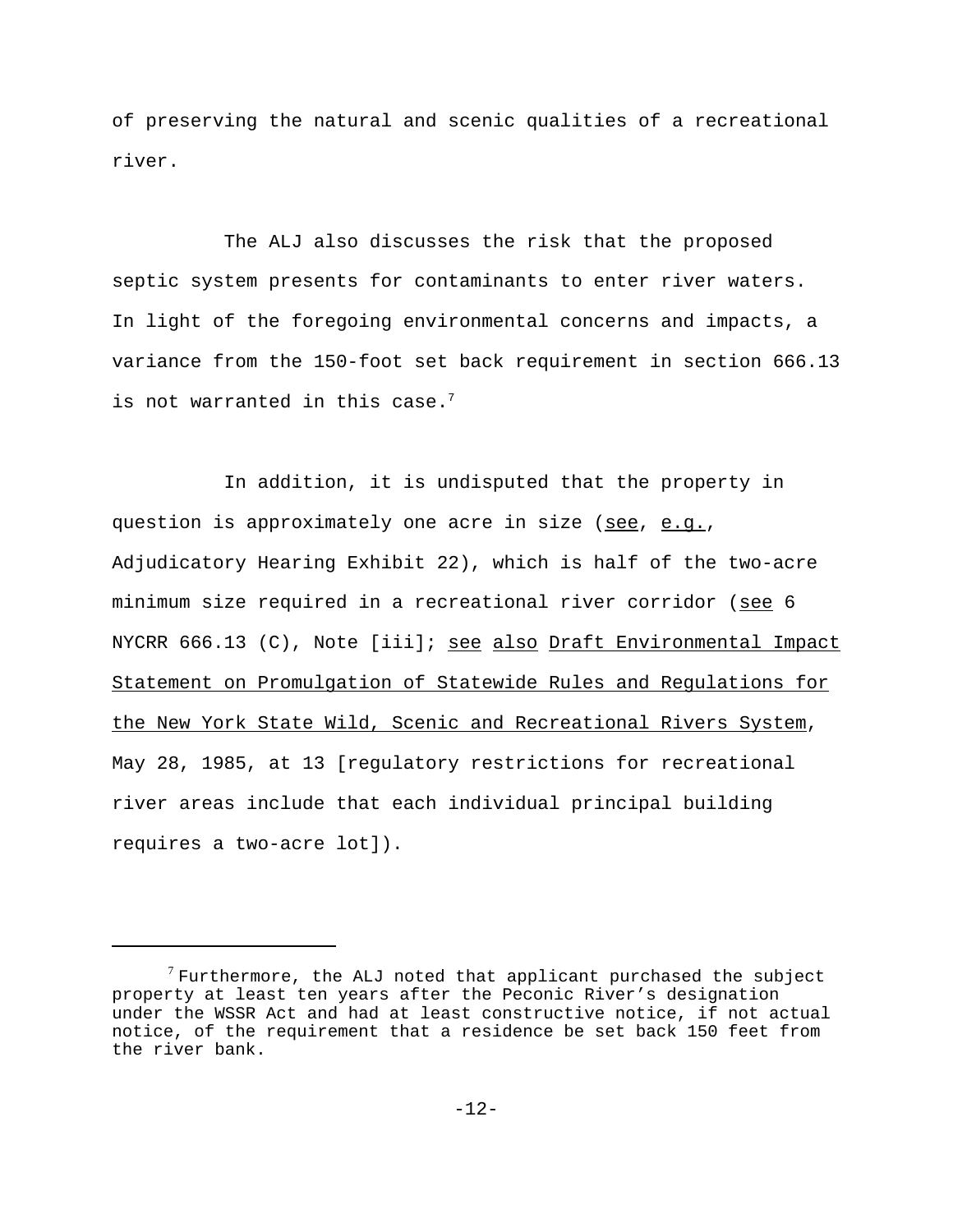of preserving the natural and scenic qualities of a recreational river.

The ALJ also discusses the risk that the proposed septic system presents for contaminants to enter river waters. In light of the foregoing environmental concerns and impacts, a variance from the 150-foot set back requirement in section 666.13 is not warranted in this case. $7$ 

In addition, it is undisputed that the property in question is approximately one acre in size (see, e.g., Adjudicatory Hearing Exhibit 22), which is half of the two-acre minimum size required in a recreational river corridor (see 6 NYCRR 666.13 (C), Note [iii]; see also Draft Environmental Impact Statement on Promulgation of Statewide Rules and Regulations for the New York State Wild, Scenic and Recreational Rivers System, May 28, 1985, at 13 [regulatory restrictions for recreational river areas include that each individual principal building requires a two-acre lot]).

 $7$  Furthermore, the ALJ noted that applicant purchased the subject property at least ten years after the Peconic River's designation under the WSSR Act and had at least constructive notice, if not actual notice, of the requirement that a residence be set back 150 feet from the river bank.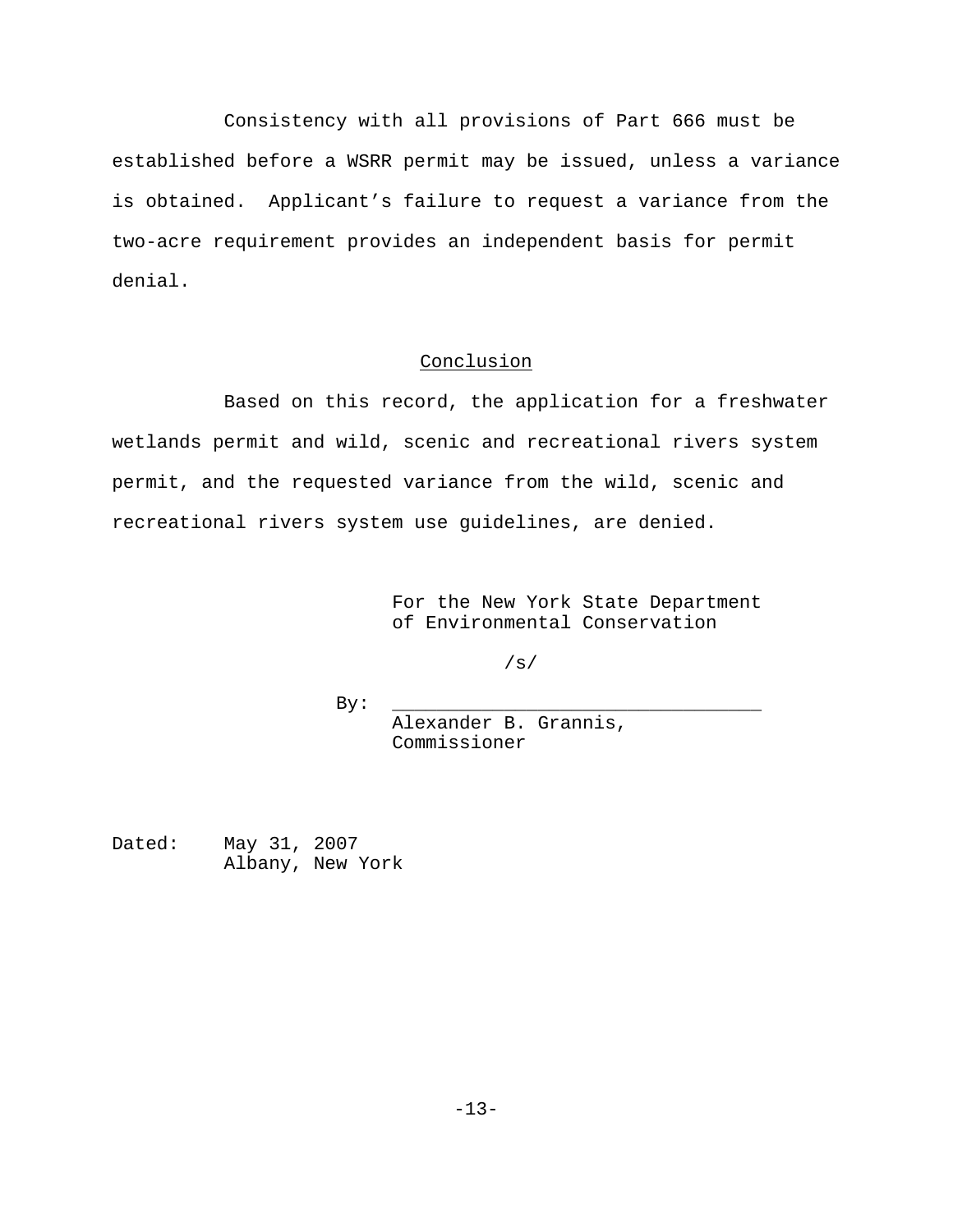Consistency with all provisions of Part 666 must be established before a WSRR permit may be issued, unless a variance is obtained. Applicant's failure to request a variance from the two-acre requirement provides an independent basis for permit denial.

# **Conclusion**

Based on this record, the application for a freshwater wetlands permit and wild, scenic and recreational rivers system permit, and the requested variance from the wild, scenic and recreational rivers system use guidelines, are denied.

> For the New York State Department of Environmental Conservation

> > /s/

By: \_\_\_\_\_\_\_\_\_\_\_\_\_\_\_\_\_\_\_\_\_\_\_\_\_\_\_\_\_\_\_\_\_

Alexander B. Grannis, Commissioner

Dated: May 31, 2007 Albany, New York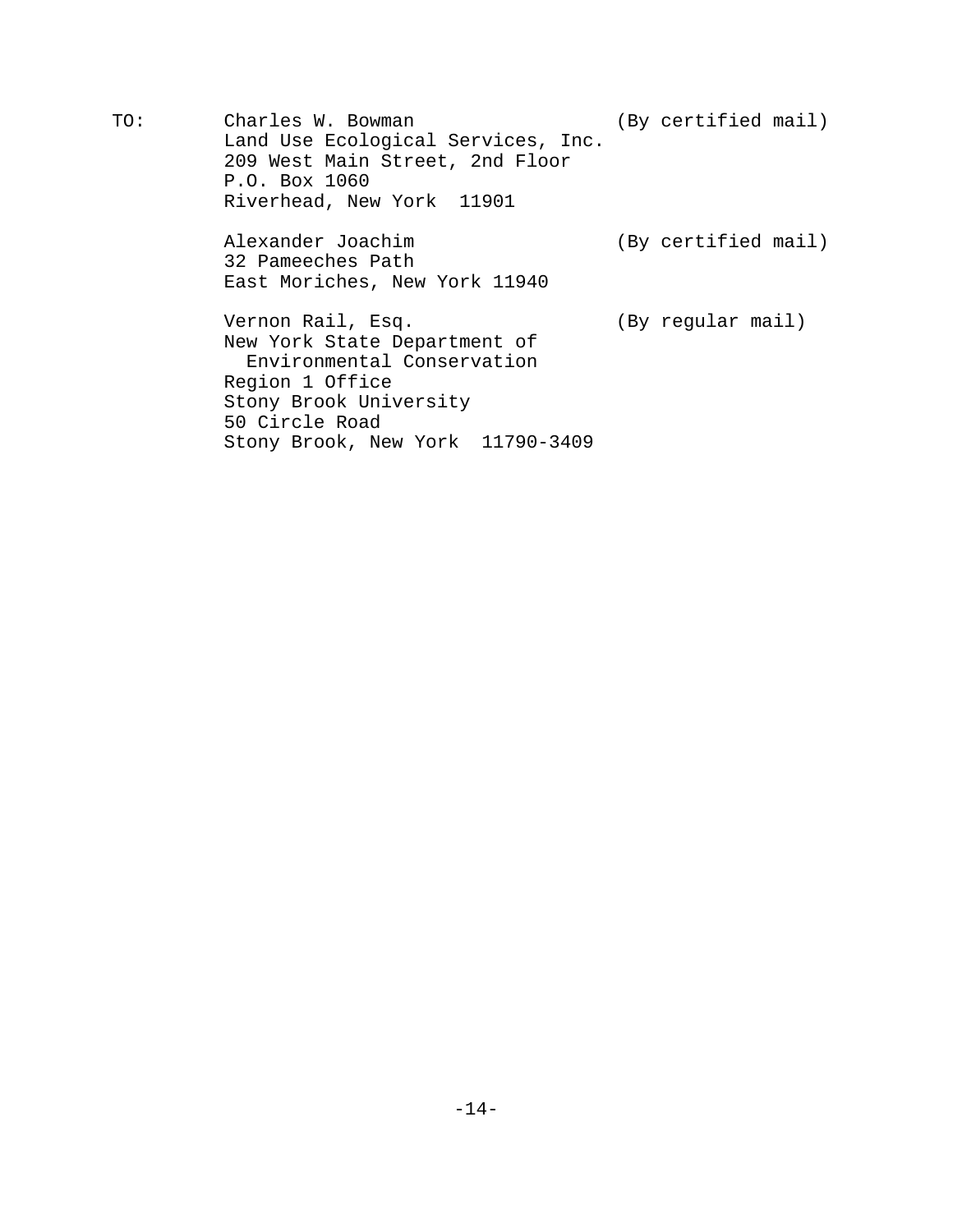TO: Charles W. Bowman (By certified mail) Land Use Ecological Services, Inc. 209 West Main Street, 2nd Floor P.O. Box 1060 Riverhead, New York 11901

> Alexander Joachim (By certified mail) 32 Pameeches Path East Moriches, New York 11940

Vernon Rail, Esq. (By regular mail) New York State Department of Environmental Conservation Region 1 Office Stony Brook University 50 Circle Road Stony Brook, New York 11790-3409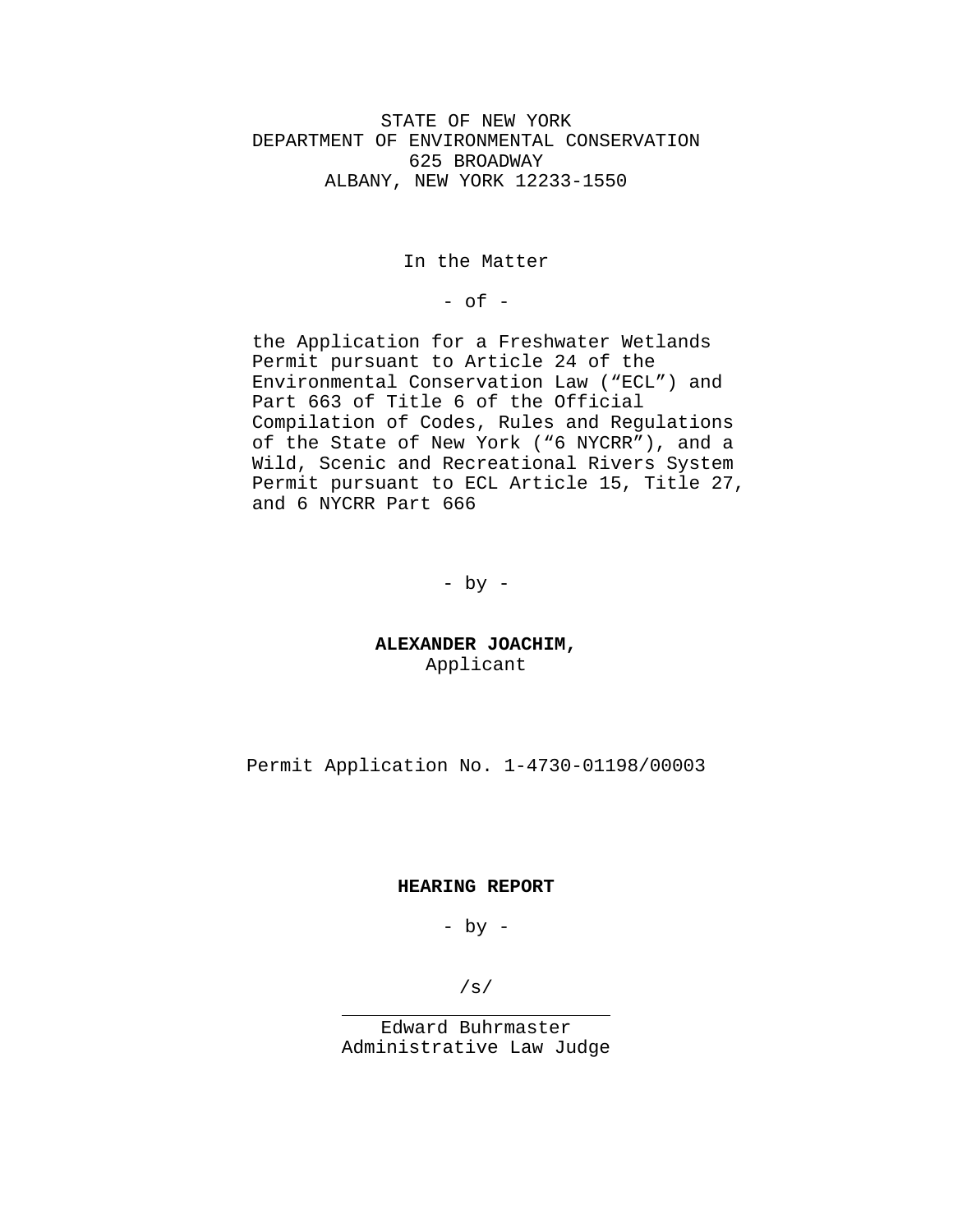STATE OF NEW YORK DEPARTMENT OF ENVIRONMENTAL CONSERVATION 625 BROADWAY ALBANY, NEW YORK 12233-1550

In the Matter

 $-$  of  $-$ 

 the Application for a Freshwater Wetlands Permit pursuant to Article 24 of the Environmental Conservation Law ("ECL") and Part 663 of Title 6 of the Official Compilation of Codes, Rules and Regulations of the State of New York ("6 NYCRR"), and a Wild, Scenic and Recreational Rivers System Permit pursuant to ECL Article 15, Title 27, and 6 NYCRR Part 666

 $-$  by  $-$ 

**ALEXANDER JOACHIM,** Applicant

Permit Application No. 1-4730-01198/00003

#### **HEARING REPORT**

- by -

/s/

 $\overline{a}$ 

Edward Buhrmaster Administrative Law Judge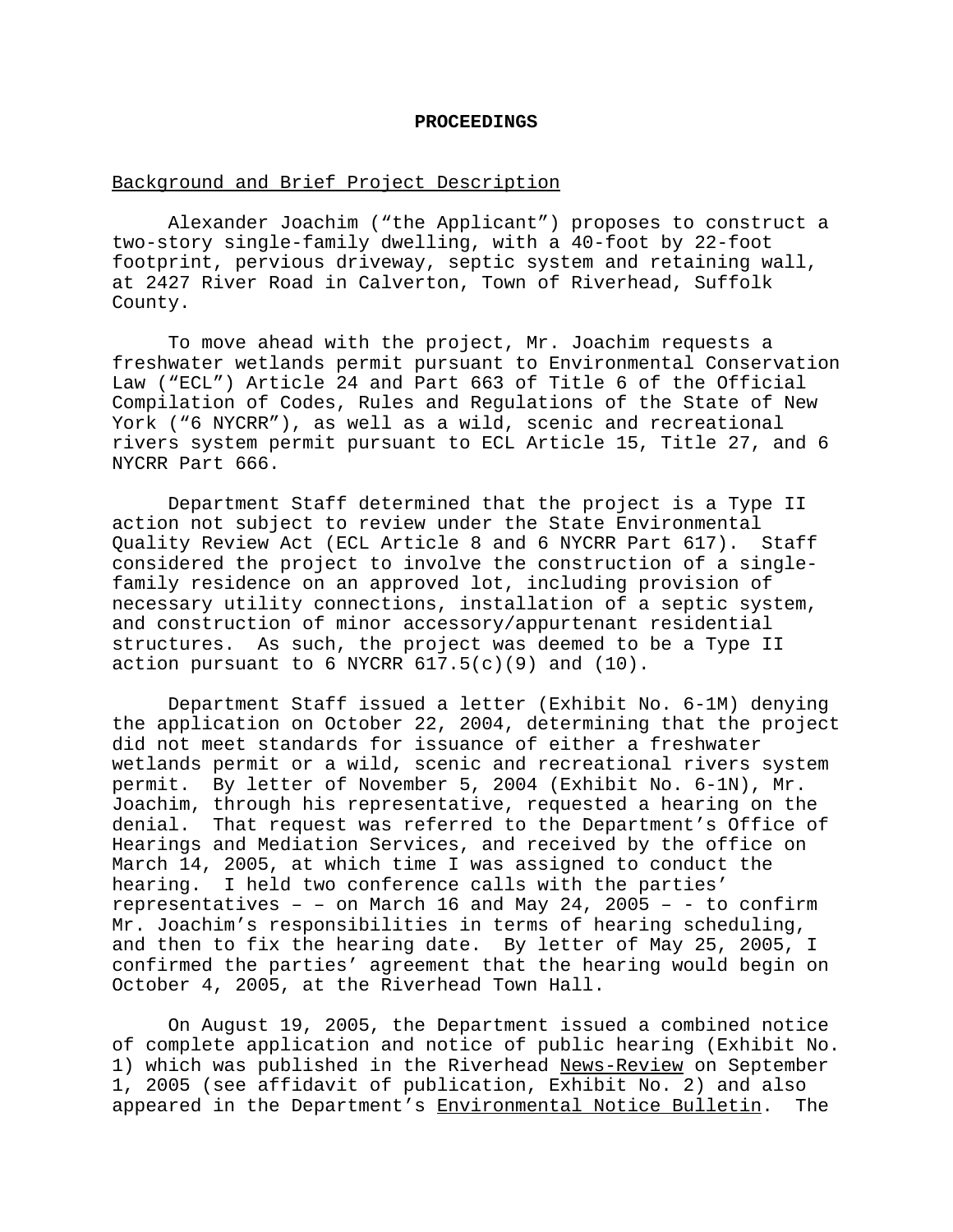#### **PROCEEDINGS**

### Background and Brief Project Description

Alexander Joachim ("the Applicant") proposes to construct a two-story single-family dwelling, with a 40-foot by 22-foot footprint, pervious driveway, septic system and retaining wall, at 2427 River Road in Calverton, Town of Riverhead, Suffolk County.

To move ahead with the project, Mr. Joachim requests a freshwater wetlands permit pursuant to Environmental Conservation Law ("ECL") Article 24 and Part 663 of Title 6 of the Official Compilation of Codes, Rules and Regulations of the State of New York ("6 NYCRR"), as well as a wild, scenic and recreational rivers system permit pursuant to ECL Article 15, Title 27, and 6 NYCRR Part 666.

Department Staff determined that the project is a Type II action not subject to review under the State Environmental Quality Review Act (ECL Article 8 and 6 NYCRR Part 617). Staff considered the project to involve the construction of a singlefamily residence on an approved lot, including provision of necessary utility connections, installation of a septic system, and construction of minor accessory/appurtenant residential structures. As such, the project was deemed to be a Type II action pursuant to 6 NYCRR  $617.5(c)(9)$  and  $(10)$ .

Department Staff issued a letter (Exhibit No. 6-1M) denying the application on October 22, 2004, determining that the project did not meet standards for issuance of either a freshwater wetlands permit or a wild, scenic and recreational rivers system permit. By letter of November 5, 2004 (Exhibit No. 6-1N), Mr. Joachim, through his representative, requested a hearing on the denial. That request was referred to the Department's Office of Hearings and Mediation Services, and received by the office on March 14, 2005, at which time I was assigned to conduct the hearing. I held two conference calls with the parties' representatives – – on March 16 and May 24, 2005 – - to confirm Mr. Joachim's responsibilities in terms of hearing scheduling, and then to fix the hearing date. By letter of May 25, 2005, I confirmed the parties' agreement that the hearing would begin on October 4, 2005, at the Riverhead Town Hall.

On August 19, 2005, the Department issued a combined notice of complete application and notice of public hearing (Exhibit No. 1) which was published in the Riverhead News-Review on September 1, 2005 (see affidavit of publication, Exhibit No. 2) and also appeared in the Department's Environmental Notice Bulletin. The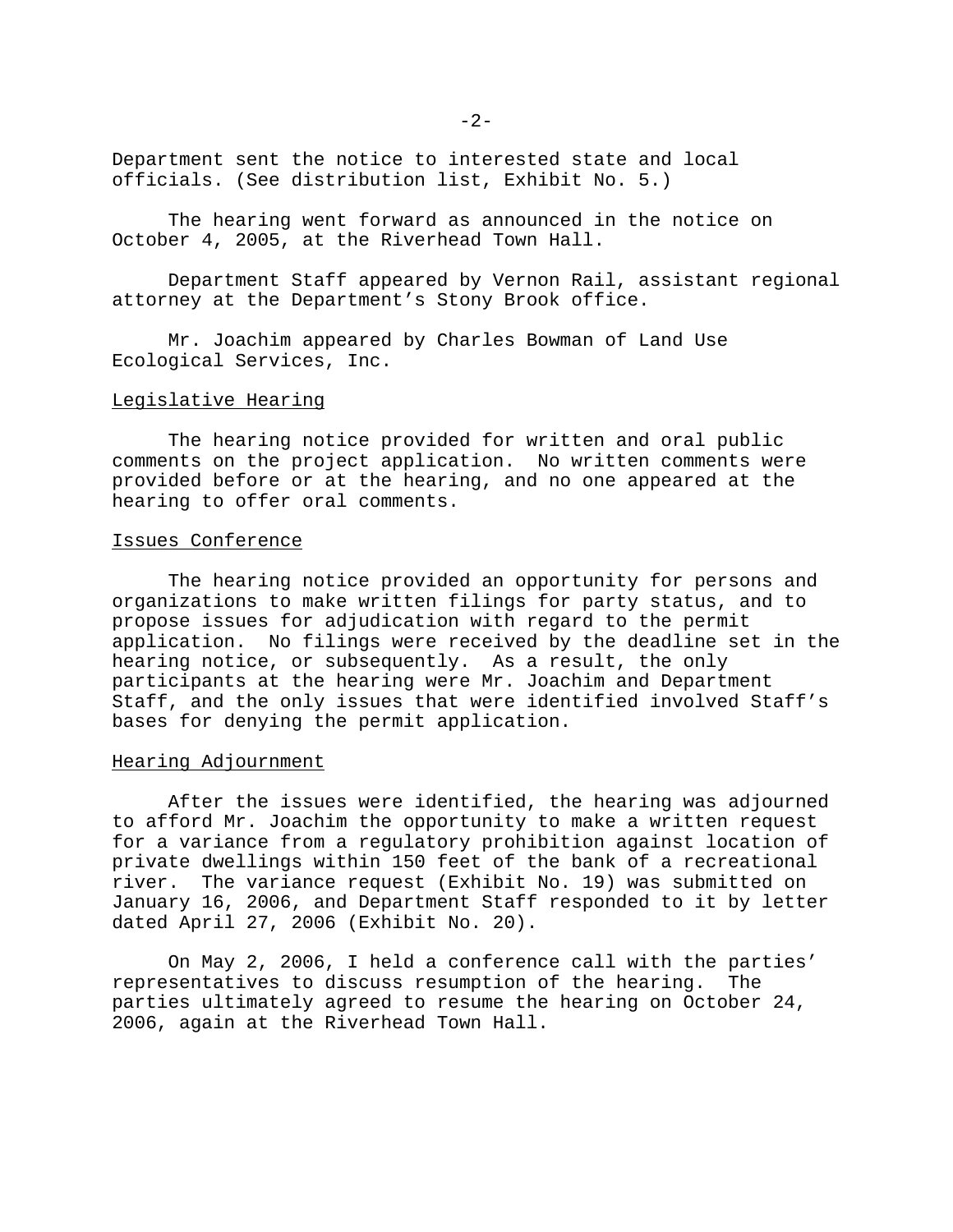Department sent the notice to interested state and local officials. (See distribution list, Exhibit No. 5.)

The hearing went forward as announced in the notice on October 4, 2005, at the Riverhead Town Hall.

Department Staff appeared by Vernon Rail, assistant regional attorney at the Department's Stony Brook office.

Mr. Joachim appeared by Charles Bowman of Land Use Ecological Services, Inc.

### Legislative Hearing

The hearing notice provided for written and oral public comments on the project application. No written comments were provided before or at the hearing, and no one appeared at the hearing to offer oral comments.

### Issues Conference

The hearing notice provided an opportunity for persons and organizations to make written filings for party status, and to propose issues for adjudication with regard to the permit application. No filings were received by the deadline set in the hearing notice, or subsequently. As a result, the only participants at the hearing were Mr. Joachim and Department Staff, and the only issues that were identified involved Staff's bases for denying the permit application.

### Hearing Adjournment

After the issues were identified, the hearing was adjourned to afford Mr. Joachim the opportunity to make a written request for a variance from a regulatory prohibition against location of private dwellings within 150 feet of the bank of a recreational river. The variance request (Exhibit No. 19) was submitted on January 16, 2006, and Department Staff responded to it by letter dated April 27, 2006 (Exhibit No. 20).

On May 2, 2006, I held a conference call with the parties' representatives to discuss resumption of the hearing. The parties ultimately agreed to resume the hearing on October 24, 2006, again at the Riverhead Town Hall.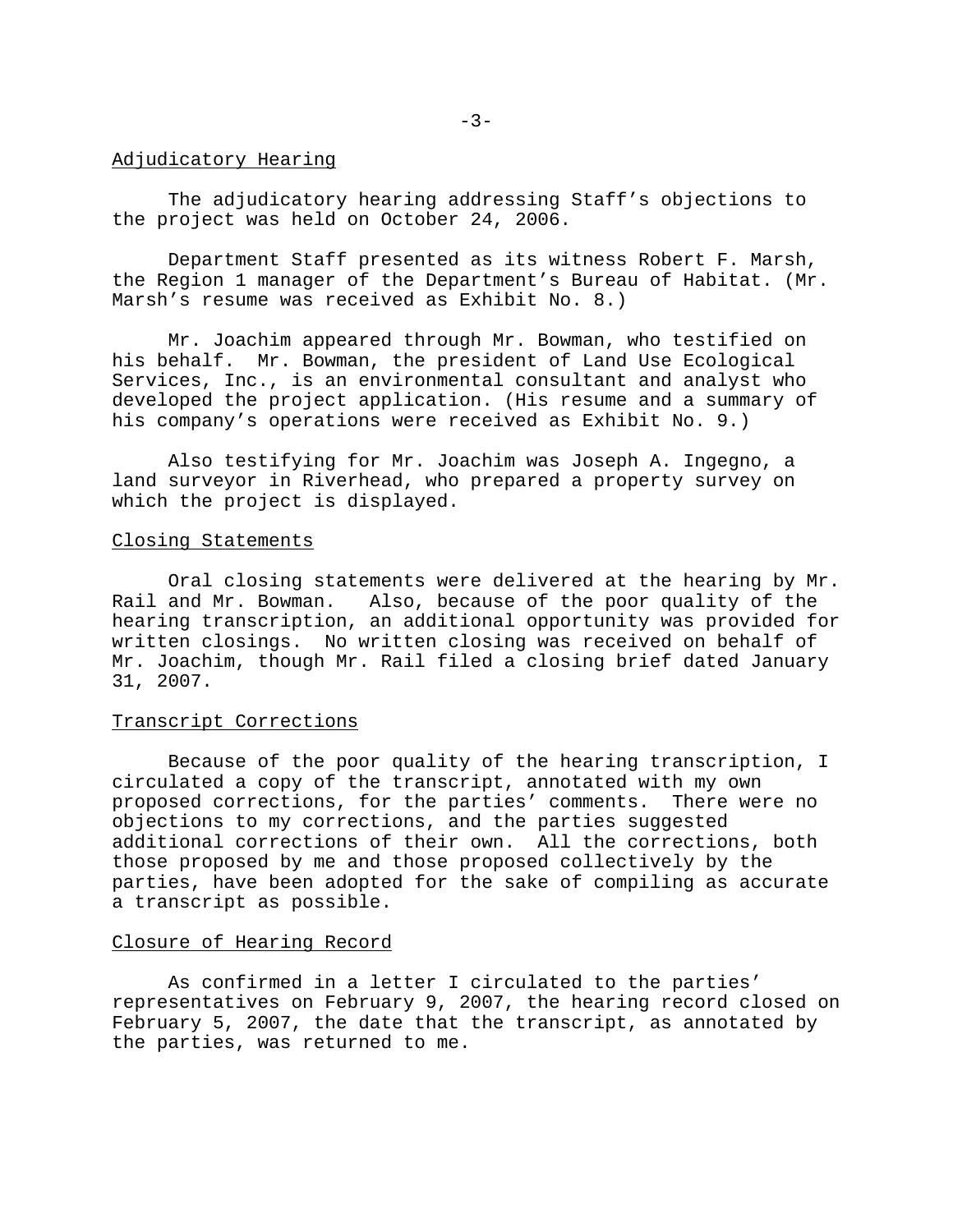#### Adjudicatory Hearing

The adjudicatory hearing addressing Staff's objections to the project was held on October 24, 2006.

Department Staff presented as its witness Robert F. Marsh, the Region 1 manager of the Department's Bureau of Habitat. (Mr. Marsh's resume was received as Exhibit No. 8.)

Mr. Joachim appeared through Mr. Bowman, who testified on his behalf. Mr. Bowman, the president of Land Use Ecological Services, Inc., is an environmental consultant and analyst who developed the project application. (His resume and a summary of his company's operations were received as Exhibit No. 9.)

Also testifying for Mr. Joachim was Joseph A. Ingegno, a land surveyor in Riverhead, who prepared a property survey on which the project is displayed.

### Closing Statements

Oral closing statements were delivered at the hearing by Mr. Rail and Mr. Bowman. Also, because of the poor quality of the hearing transcription, an additional opportunity was provided for written closings. No written closing was received on behalf of Mr. Joachim, though Mr. Rail filed a closing brief dated January 31, 2007.

### Transcript Corrections

Because of the poor quality of the hearing transcription, I circulated a copy of the transcript, annotated with my own proposed corrections, for the parties' comments. There were no objections to my corrections, and the parties suggested additional corrections of their own. All the corrections, both those proposed by me and those proposed collectively by the parties, have been adopted for the sake of compiling as accurate a transcript as possible.

# Closure of Hearing Record

As confirmed in a letter I circulated to the parties' representatives on February 9, 2007, the hearing record closed on February 5, 2007, the date that the transcript, as annotated by the parties, was returned to me.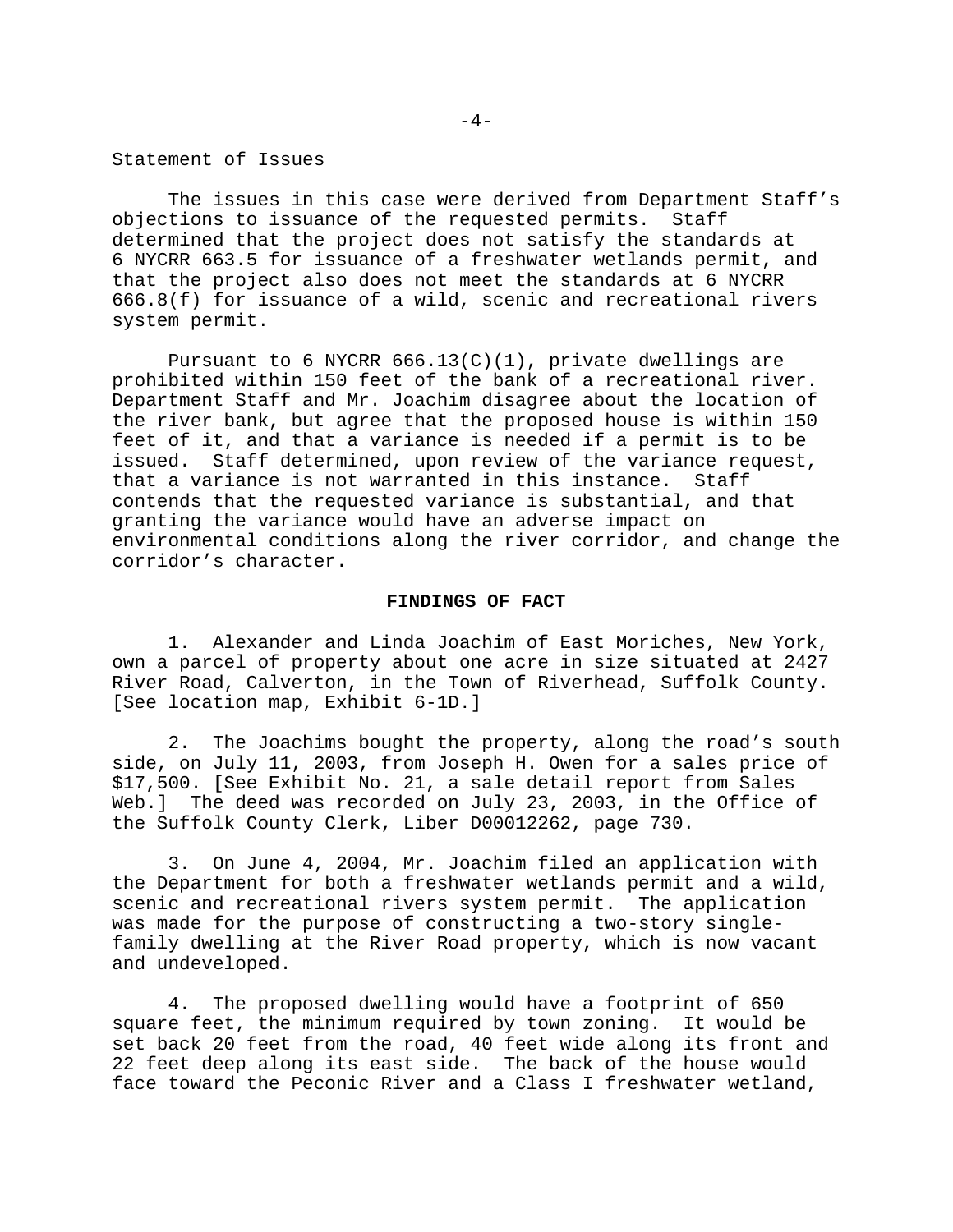#### Statement of Issues

The issues in this case were derived from Department Staff's objections to issuance of the requested permits. Staff determined that the project does not satisfy the standards at 6 NYCRR 663.5 for issuance of a freshwater wetlands permit, and that the project also does not meet the standards at 6 NYCRR 666.8(f) for issuance of a wild, scenic and recreational rivers system permit.

Pursuant to 6 NYCRR  $666.13(C)(1)$ , private dwellings are prohibited within 150 feet of the bank of a recreational river. Department Staff and Mr. Joachim disagree about the location of the river bank, but agree that the proposed house is within 150 feet of it, and that a variance is needed if a permit is to be issued. Staff determined, upon review of the variance request, that a variance is not warranted in this instance. Staff contends that the requested variance is substantial, and that granting the variance would have an adverse impact on environmental conditions along the river corridor, and change the corridor's character.

### **FINDINGS OF FACT**

1. Alexander and Linda Joachim of East Moriches, New York, own a parcel of property about one acre in size situated at 2427 River Road, Calverton, in the Town of Riverhead, Suffolk County. [See location map, Exhibit 6-1D.]

2. The Joachims bought the property, along the road's south side, on July 11, 2003, from Joseph H. Owen for a sales price of \$17,500. [See Exhibit No. 21, a sale detail report from Sales Web.] The deed was recorded on July 23, 2003, in the Office of the Suffolk County Clerk, Liber D00012262, page 730.

3. On June 4, 2004, Mr. Joachim filed an application with the Department for both a freshwater wetlands permit and a wild, scenic and recreational rivers system permit. The application was made for the purpose of constructing a two-story singlefamily dwelling at the River Road property, which is now vacant and undeveloped.

4. The proposed dwelling would have a footprint of 650 square feet, the minimum required by town zoning. It would be set back 20 feet from the road, 40 feet wide along its front and 22 feet deep along its east side. The back of the house would face toward the Peconic River and a Class I freshwater wetland,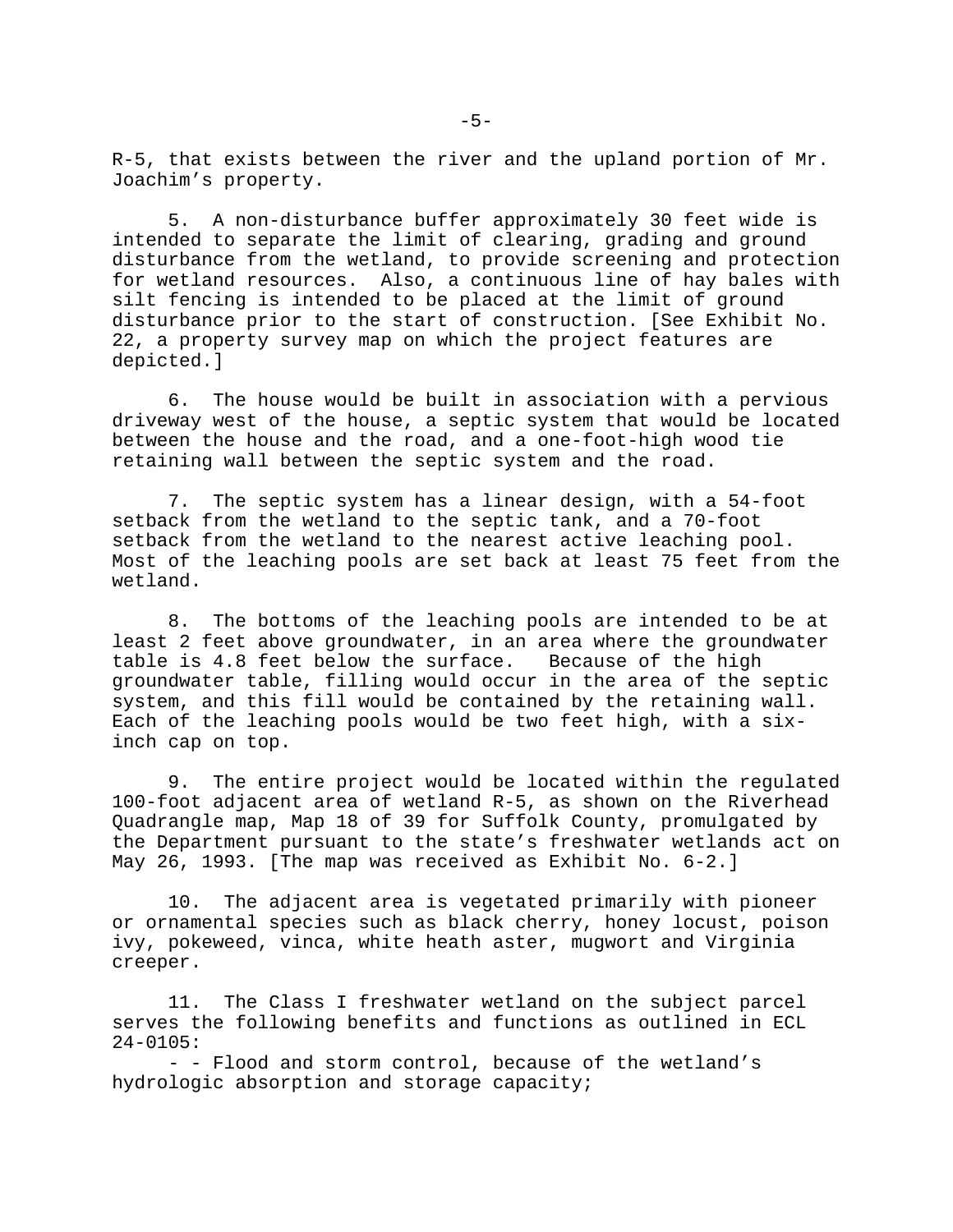R-5, that exists between the river and the upland portion of Mr. Joachim's property.

5. A non-disturbance buffer approximately 30 feet wide is intended to separate the limit of clearing, grading and ground disturbance from the wetland, to provide screening and protection for wetland resources. Also, a continuous line of hay bales with silt fencing is intended to be placed at the limit of ground disturbance prior to the start of construction. [See Exhibit No. 22, a property survey map on which the project features are depicted.]

6. The house would be built in association with a pervious driveway west of the house, a septic system that would be located between the house and the road, and a one-foot-high wood tie retaining wall between the septic system and the road.

7. The septic system has a linear design, with a 54-foot setback from the wetland to the septic tank, and a 70-foot setback from the wetland to the nearest active leaching pool. Most of the leaching pools are set back at least 75 feet from the wetland.

8. The bottoms of the leaching pools are intended to be at least 2 feet above groundwater, in an area where the groundwater table is 4.8 feet below the surface. Because of the high groundwater table, filling would occur in the area of the septic system, and this fill would be contained by the retaining wall. Each of the leaching pools would be two feet high, with a sixinch cap on top.

9. The entire project would be located within the regulated 100-foot adjacent area of wetland R-5, as shown on the Riverhead Quadrangle map, Map 18 of 39 for Suffolk County, promulgated by the Department pursuant to the state's freshwater wetlands act on May 26, 1993. [The map was received as Exhibit No. 6-2.]

10. The adjacent area is vegetated primarily with pioneer or ornamental species such as black cherry, honey locust, poison ivy, pokeweed, vinca, white heath aster, mugwort and Virginia creeper.

11. The Class I freshwater wetland on the subject parcel serves the following benefits and functions as outlined in ECL 24-0105:

- - Flood and storm control, because of the wetland's hydrologic absorption and storage capacity;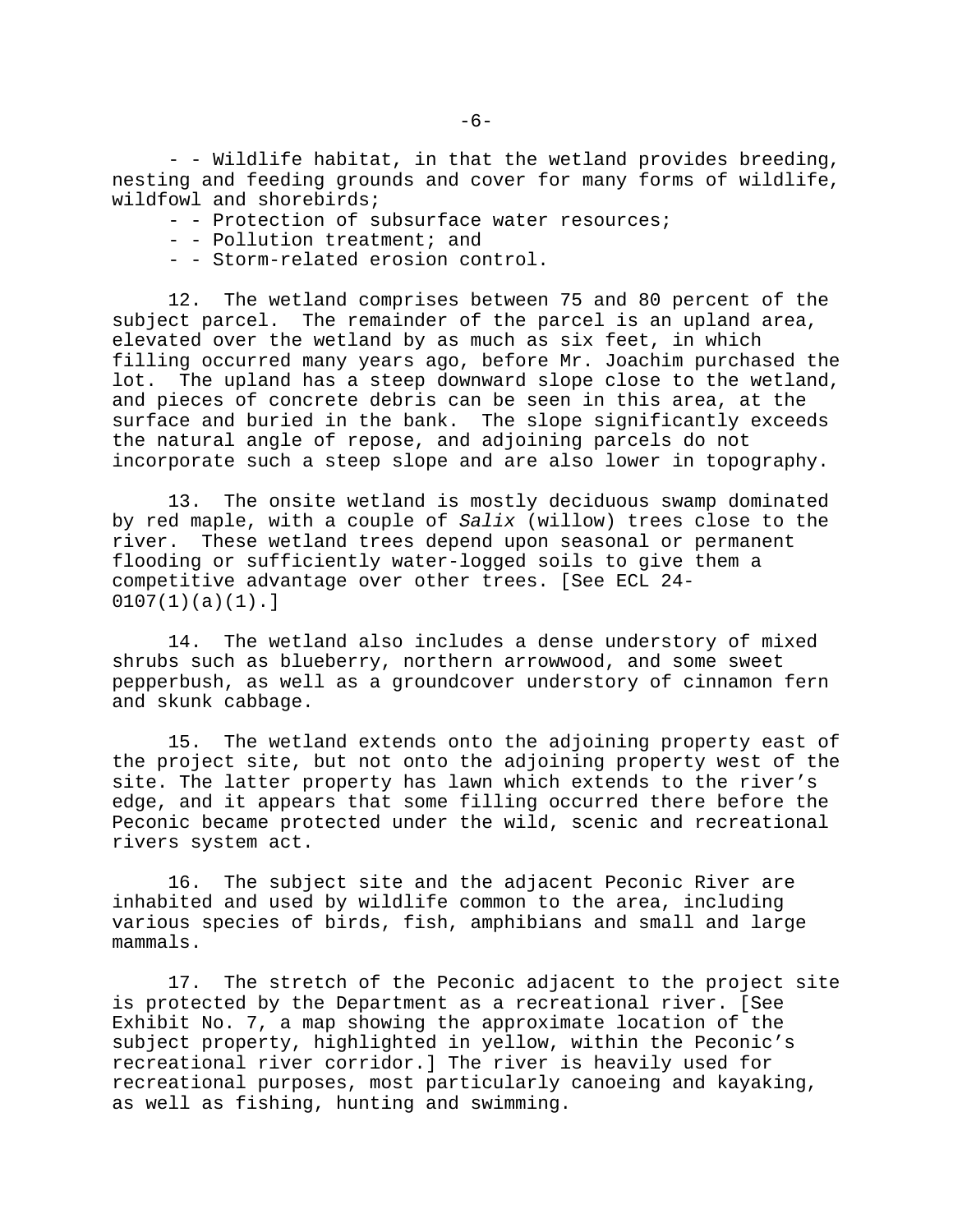- - Wildlife habitat, in that the wetland provides breeding, nesting and feeding grounds and cover for many forms of wildlife, wildfowl and shorebirds;

- - Protection of subsurface water resources;
- - Pollution treatment; and
- - Storm-related erosion control.

12. The wetland comprises between 75 and 80 percent of the subject parcel. The remainder of the parcel is an upland area, elevated over the wetland by as much as six feet, in which filling occurred many years ago, before Mr. Joachim purchased the lot. The upland has a steep downward slope close to the wetland, and pieces of concrete debris can be seen in this area, at the surface and buried in the bank. The slope significantly exceeds the natural angle of repose, and adjoining parcels do not incorporate such a steep slope and are also lower in topography.

13. The onsite wetland is mostly deciduous swamp dominated by red maple, with a couple of *Salix* (willow) trees close to the river. These wetland trees depend upon seasonal or permanent flooding or sufficiently water-logged soils to give them a competitive advantage over other trees. [See ECL 24-  $0107(1)(a)(1)$ .]

14. The wetland also includes a dense understory of mixed shrubs such as blueberry, northern arrowwood, and some sweet pepperbush, as well as a groundcover understory of cinnamon fern and skunk cabbage.

15. The wetland extends onto the adjoining property east of the project site, but not onto the adjoining property west of the site. The latter property has lawn which extends to the river's edge, and it appears that some filling occurred there before the Peconic became protected under the wild, scenic and recreational rivers system act.

16. The subject site and the adjacent Peconic River are inhabited and used by wildlife common to the area, including various species of birds, fish, amphibians and small and large mammals.

17. The stretch of the Peconic adjacent to the project site is protected by the Department as a recreational river. [See Exhibit No. 7, a map showing the approximate location of the subject property, highlighted in yellow, within the Peconic's recreational river corridor.] The river is heavily used for recreational purposes, most particularly canoeing and kayaking, as well as fishing, hunting and swimming.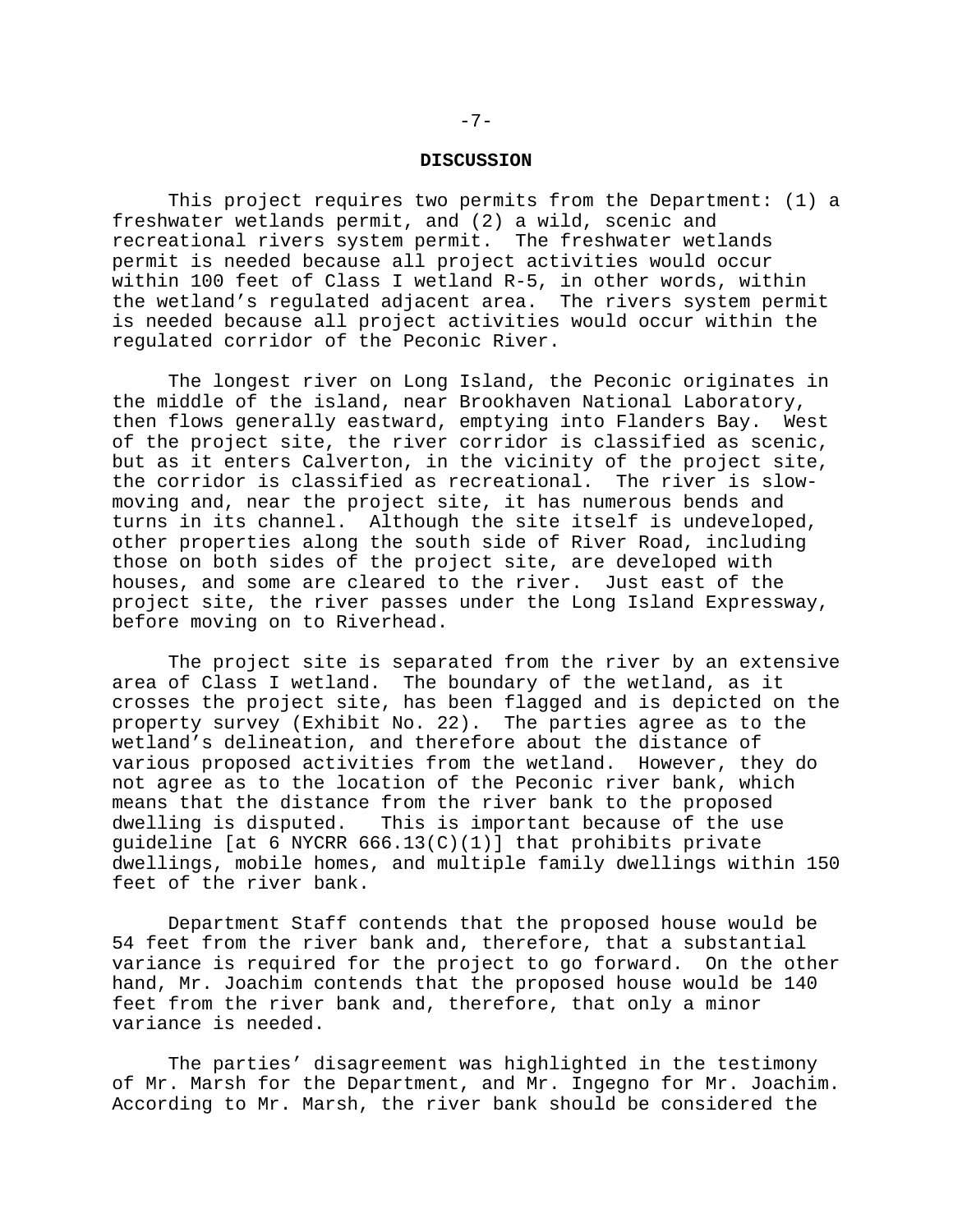#### **DISCUSSION**

This project requires two permits from the Department: (1) a freshwater wetlands permit, and (2) a wild, scenic and recreational rivers system permit. The freshwater wetlands permit is needed because all project activities would occur within 100 feet of Class I wetland R-5, in other words, within the wetland's regulated adjacent area. The rivers system permit is needed because all project activities would occur within the regulated corridor of the Peconic River.

The longest river on Long Island, the Peconic originates in the middle of the island, near Brookhaven National Laboratory, then flows generally eastward, emptying into Flanders Bay. West of the project site, the river corridor is classified as scenic, but as it enters Calverton, in the vicinity of the project site, the corridor is classified as recreational. The river is slowmoving and, near the project site, it has numerous bends and turns in its channel. Although the site itself is undeveloped, other properties along the south side of River Road, including those on both sides of the project site, are developed with houses, and some are cleared to the river. Just east of the project site, the river passes under the Long Island Expressway, before moving on to Riverhead.

The project site is separated from the river by an extensive area of Class I wetland. The boundary of the wetland, as it crosses the project site, has been flagged and is depicted on the property survey (Exhibit No. 22). The parties agree as to the wetland's delineation, and therefore about the distance of various proposed activities from the wetland. However, they do not agree as to the location of the Peconic river bank, which means that the distance from the river bank to the proposed dwelling is disputed. This is important because of the use guideline [at 6 NYCRR  $666.13(C)(1)$ ] that prohibits private dwellings, mobile homes, and multiple family dwellings within 150 feet of the river bank.

Department Staff contends that the proposed house would be 54 feet from the river bank and, therefore, that a substantial variance is required for the project to go forward. On the other hand, Mr. Joachim contends that the proposed house would be 140 feet from the river bank and, therefore, that only a minor variance is needed.

The parties' disagreement was highlighted in the testimony of Mr. Marsh for the Department, and Mr. Ingegno for Mr. Joachim. According to Mr. Marsh, the river bank should be considered the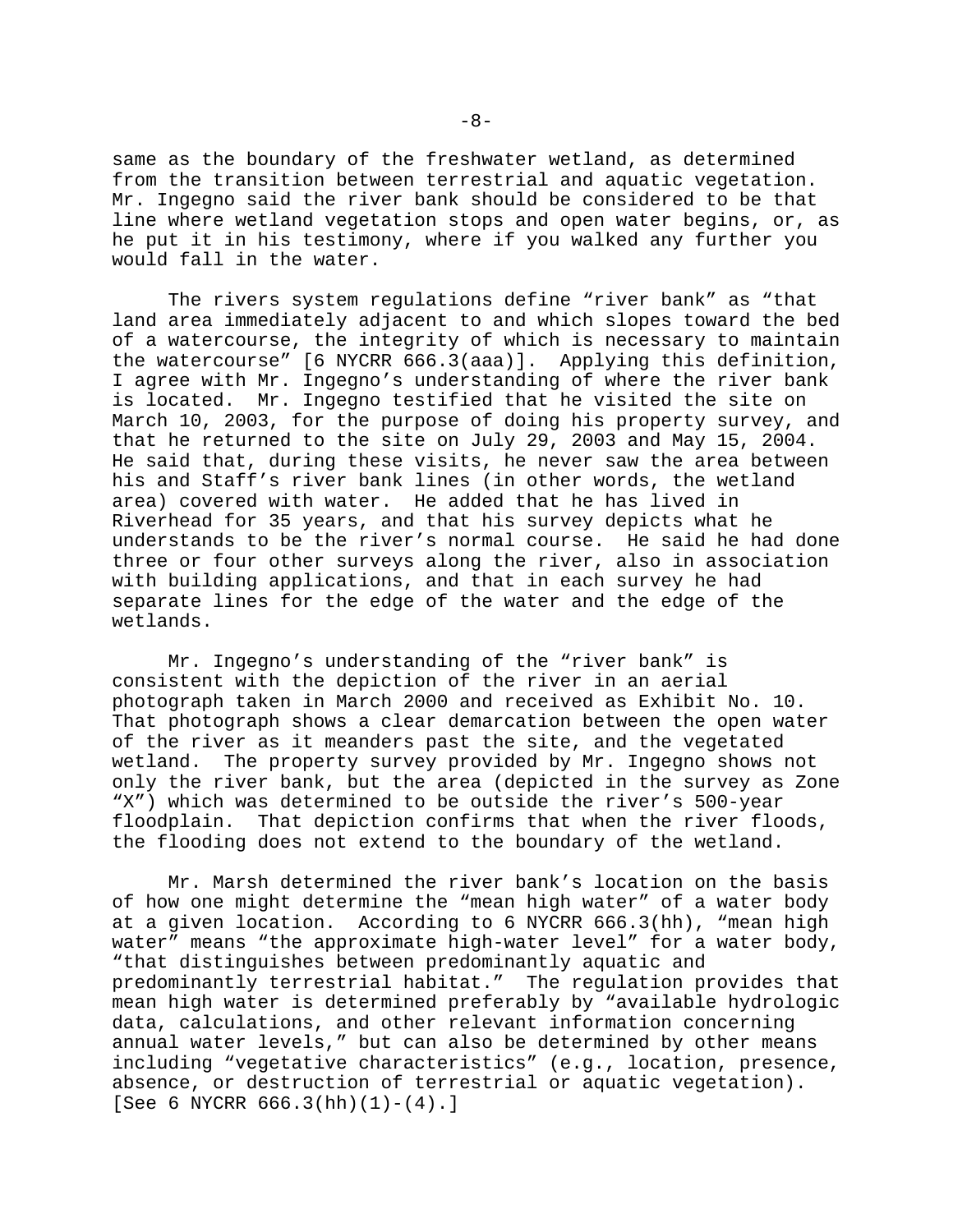same as the boundary of the freshwater wetland, as determined from the transition between terrestrial and aquatic vegetation. Mr. Ingegno said the river bank should be considered to be that line where wetland vegetation stops and open water begins, or, as he put it in his testimony, where if you walked any further you would fall in the water.

The rivers system regulations define "river bank" as "that land area immediately adjacent to and which slopes toward the bed of a watercourse, the integrity of which is necessary to maintain the watercourse" [6 NYCRR 666.3(aaa)]. Applying this definition, I agree with Mr. Ingegno's understanding of where the river bank is located. Mr. Ingegno testified that he visited the site on March 10, 2003, for the purpose of doing his property survey, and that he returned to the site on July 29, 2003 and May 15, 2004. He said that, during these visits, he never saw the area between his and Staff's river bank lines (in other words, the wetland area) covered with water. He added that he has lived in Riverhead for 35 years, and that his survey depicts what he understands to be the river's normal course. He said he had done three or four other surveys along the river, also in association with building applications, and that in each survey he had separate lines for the edge of the water and the edge of the wetlands.

Mr. Ingegno's understanding of the "river bank" is consistent with the depiction of the river in an aerial photograph taken in March 2000 and received as Exhibit No. 10. That photograph shows a clear demarcation between the open water of the river as it meanders past the site, and the vegetated wetland. The property survey provided by Mr. Ingegno shows not only the river bank, but the area (depicted in the survey as Zone "X") which was determined to be outside the river's 500-year floodplain. That depiction confirms that when the river floods, the flooding does not extend to the boundary of the wetland.

Mr. Marsh determined the river bank's location on the basis of how one might determine the "mean high water" of a water body at a given location. According to 6 NYCRR 666.3(hh), "mean high water" means "the approximate high-water level" for a water body, "that distinguishes between predominantly aquatic and predominantly terrestrial habitat." The regulation provides that mean high water is determined preferably by "available hydrologic data, calculations, and other relevant information concerning annual water levels," but can also be determined by other means including "vegetative characteristics" (e.g., location, presence, absence, or destruction of terrestrial or aquatic vegetation). [See 6 NYCRR  $666.3(hh)(1)-(4).$ ]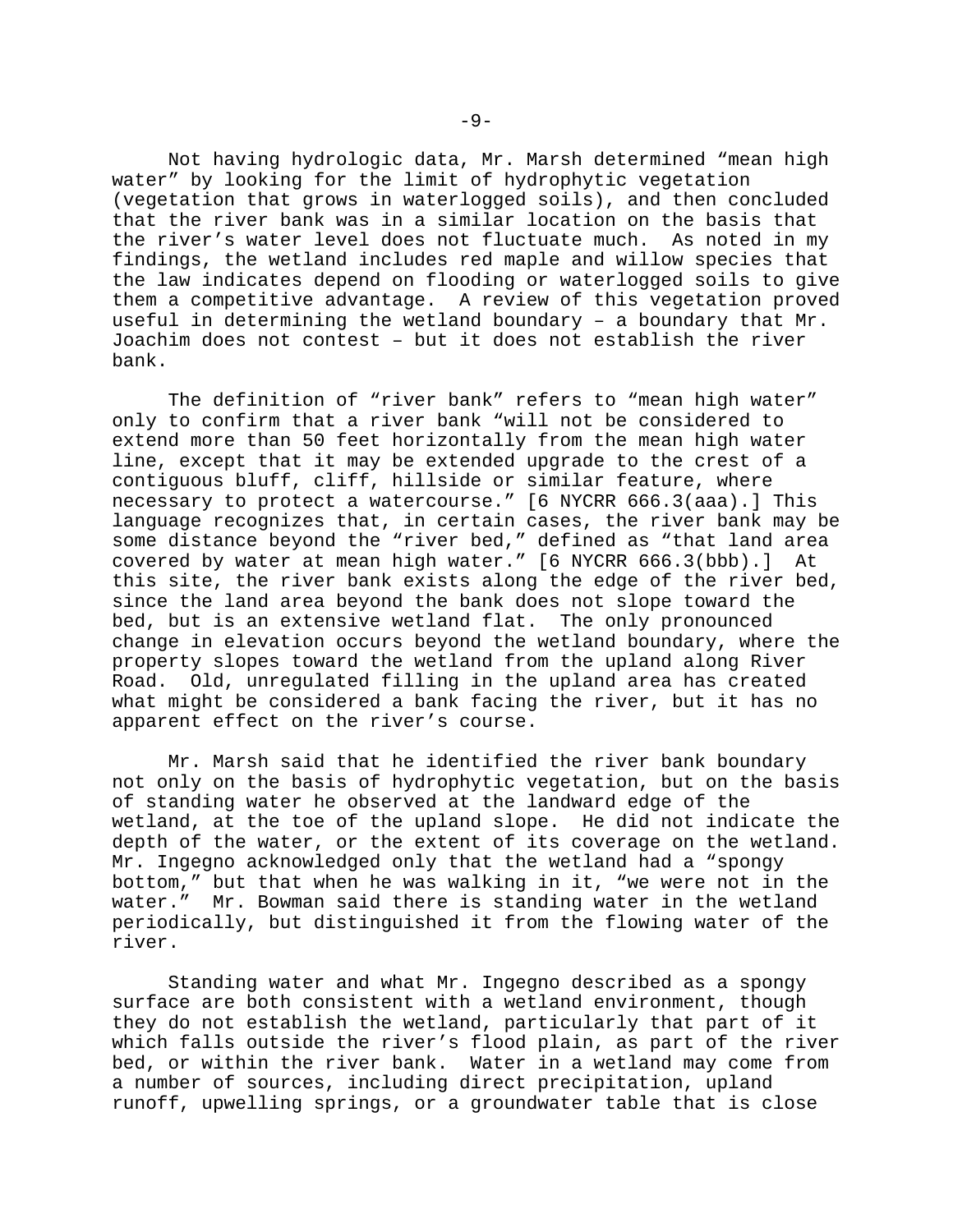Not having hydrologic data, Mr. Marsh determined "mean high water" by looking for the limit of hydrophytic vegetation (vegetation that grows in waterlogged soils), and then concluded that the river bank was in a similar location on the basis that the river's water level does not fluctuate much. As noted in my findings, the wetland includes red maple and willow species that the law indicates depend on flooding or waterlogged soils to give them a competitive advantage. A review of this vegetation proved useful in determining the wetland boundary – a boundary that Mr. Joachim does not contest – but it does not establish the river bank.

The definition of "river bank" refers to "mean high water" only to confirm that a river bank "will not be considered to extend more than 50 feet horizontally from the mean high water line, except that it may be extended upgrade to the crest of a contiguous bluff, cliff, hillside or similar feature, where necessary to protect a watercourse." [6 NYCRR 666.3(aaa).] This language recognizes that, in certain cases, the river bank may be some distance beyond the "river bed," defined as "that land area covered by water at mean high water." [6 NYCRR 666.3(bbb).] At this site, the river bank exists along the edge of the river bed, since the land area beyond the bank does not slope toward the bed, but is an extensive wetland flat. The only pronounced change in elevation occurs beyond the wetland boundary, where the property slopes toward the wetland from the upland along River Road. Old, unregulated filling in the upland area has created what might be considered a bank facing the river, but it has no apparent effect on the river's course.

Mr. Marsh said that he identified the river bank boundary not only on the basis of hydrophytic vegetation, but on the basis of standing water he observed at the landward edge of the wetland, at the toe of the upland slope. He did not indicate the depth of the water, or the extent of its coverage on the wetland. Mr. Ingegno acknowledged only that the wetland had a "spongy bottom," but that when he was walking in it, "we were not in the water." Mr. Bowman said there is standing water in the wetland periodically, but distinguished it from the flowing water of the river.

Standing water and what Mr. Ingegno described as a spongy surface are both consistent with a wetland environment, though they do not establish the wetland, particularly that part of it which falls outside the river's flood plain, as part of the river bed, or within the river bank. Water in a wetland may come from a number of sources, including direct precipitation, upland runoff, upwelling springs, or a groundwater table that is close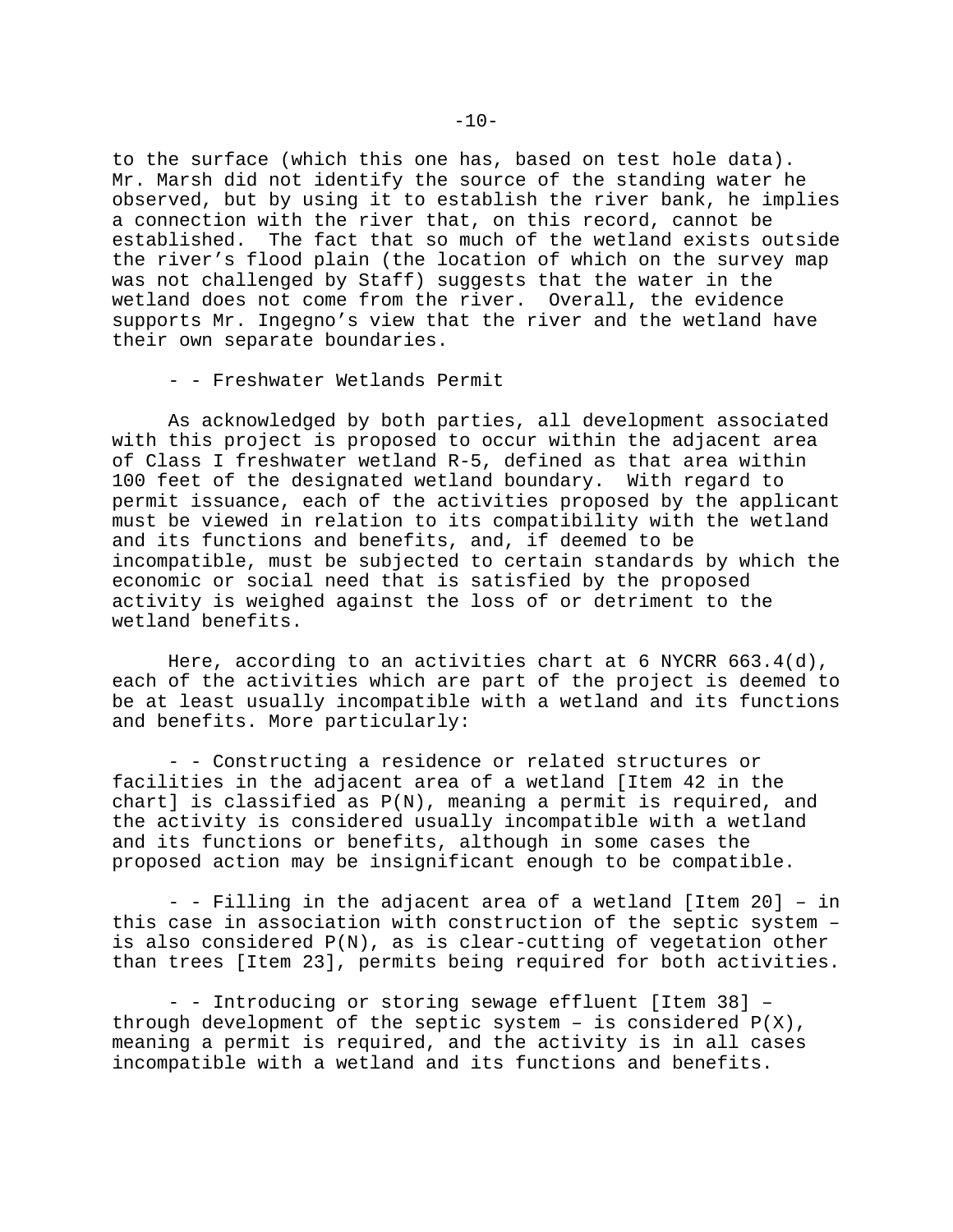to the surface (which this one has, based on test hole data). Mr. Marsh did not identify the source of the standing water he observed, but by using it to establish the river bank, he implies a connection with the river that, on this record, cannot be established. The fact that so much of the wetland exists outside the river's flood plain (the location of which on the survey map was not challenged by Staff) suggests that the water in the wetland does not come from the river. Overall, the evidence supports Mr. Ingegno's view that the river and the wetland have their own separate boundaries.

- - Freshwater Wetlands Permit

As acknowledged by both parties, all development associated with this project is proposed to occur within the adjacent area of Class I freshwater wetland R-5, defined as that area within 100 feet of the designated wetland boundary. With regard to permit issuance, each of the activities proposed by the applicant must be viewed in relation to its compatibility with the wetland and its functions and benefits, and, if deemed to be incompatible, must be subjected to certain standards by which the economic or social need that is satisfied by the proposed activity is weighed against the loss of or detriment to the wetland benefits.

Here, according to an activities chart at 6 NYCRR  $663.4(d)$ , each of the activities which are part of the project is deemed to be at least usually incompatible with a wetland and its functions and benefits. More particularly:

- - Constructing a residence or related structures or facilities in the adjacent area of a wetland [Item 42 in the chart] is classified as P(N), meaning a permit is required, and the activity is considered usually incompatible with a wetland and its functions or benefits, although in some cases the proposed action may be insignificant enough to be compatible.

- - Filling in the adjacent area of a wetland [Item 20] – in this case in association with construction of the septic system – is also considered P(N), as is clear-cutting of vegetation other than trees [Item 23], permits being required for both activities.

- - Introducing or storing sewage effluent [Item 38] – through development of the septic system - is considered  $P(X)$ , meaning a permit is required, and the activity is in all cases incompatible with a wetland and its functions and benefits.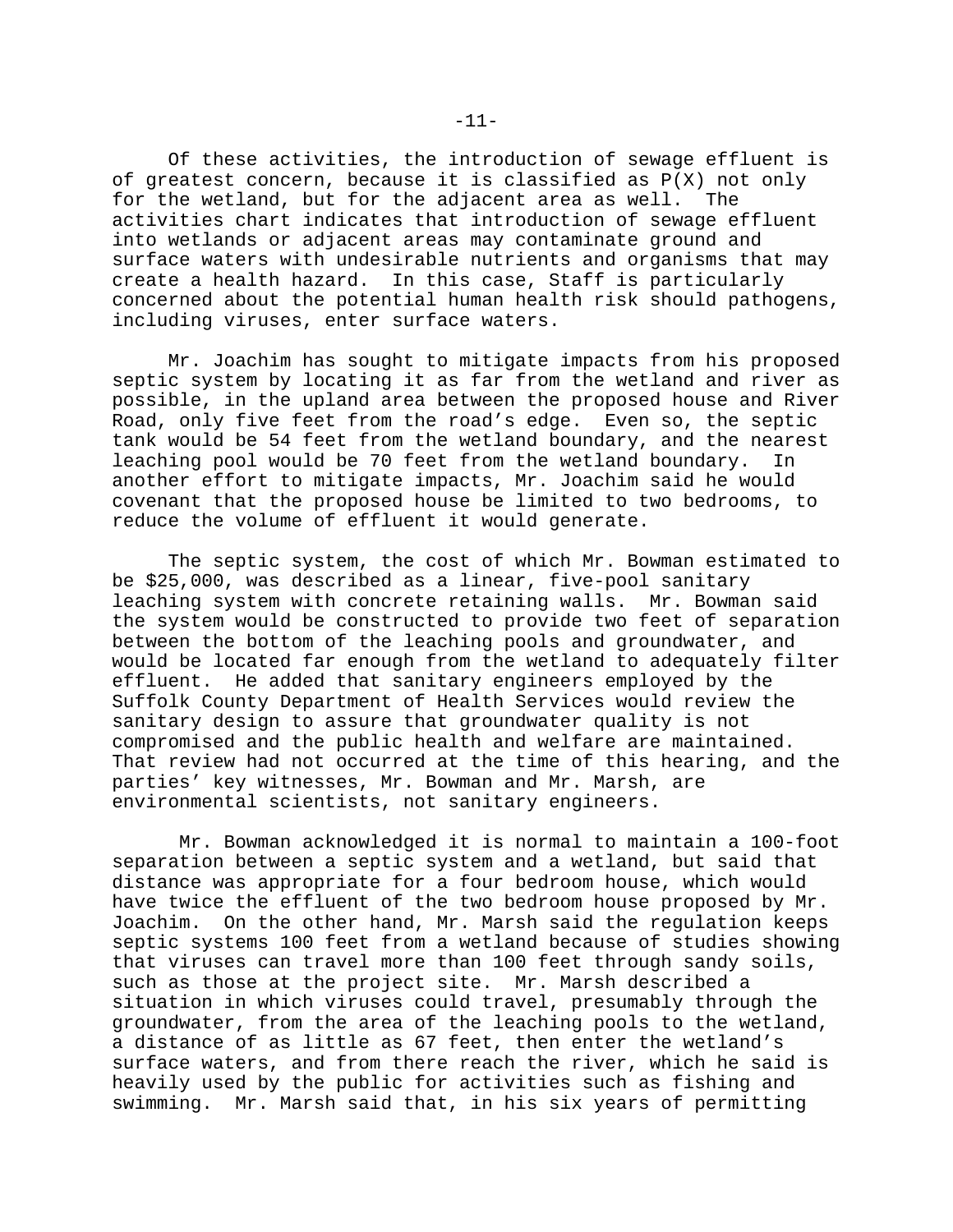Of these activities, the introduction of sewage effluent is of greatest concern, because it is classified as P(X) not only for the wetland, but for the adjacent area as well. The activities chart indicates that introduction of sewage effluent into wetlands or adjacent areas may contaminate ground and surface waters with undesirable nutrients and organisms that may create a health hazard. In this case, Staff is particularly concerned about the potential human health risk should pathogens, including viruses, enter surface waters.

Mr. Joachim has sought to mitigate impacts from his proposed septic system by locating it as far from the wetland and river as possible, in the upland area between the proposed house and River Road, only five feet from the road's edge. Even so, the septic tank would be 54 feet from the wetland boundary, and the nearest leaching pool would be 70 feet from the wetland boundary. In another effort to mitigate impacts, Mr. Joachim said he would covenant that the proposed house be limited to two bedrooms, to reduce the volume of effluent it would generate.

The septic system, the cost of which Mr. Bowman estimated to be \$25,000, was described as a linear, five-pool sanitary leaching system with concrete retaining walls. Mr. Bowman said the system would be constructed to provide two feet of separation between the bottom of the leaching pools and groundwater, and would be located far enough from the wetland to adequately filter effluent. He added that sanitary engineers employed by the Suffolk County Department of Health Services would review the sanitary design to assure that groundwater quality is not compromised and the public health and welfare are maintained. That review had not occurred at the time of this hearing, and the parties' key witnesses, Mr. Bowman and Mr. Marsh, are environmental scientists, not sanitary engineers.

 Mr. Bowman acknowledged it is normal to maintain a 100-foot separation between a septic system and a wetland, but said that distance was appropriate for a four bedroom house, which would have twice the effluent of the two bedroom house proposed by Mr. Joachim. On the other hand, Mr. Marsh said the regulation keeps septic systems 100 feet from a wetland because of studies showing that viruses can travel more than 100 feet through sandy soils, such as those at the project site. Mr. Marsh described a situation in which viruses could travel, presumably through the groundwater, from the area of the leaching pools to the wetland, a distance of as little as 67 feet, then enter the wetland's surface waters, and from there reach the river, which he said is heavily used by the public for activities such as fishing and swimming. Mr. Marsh said that, in his six years of permitting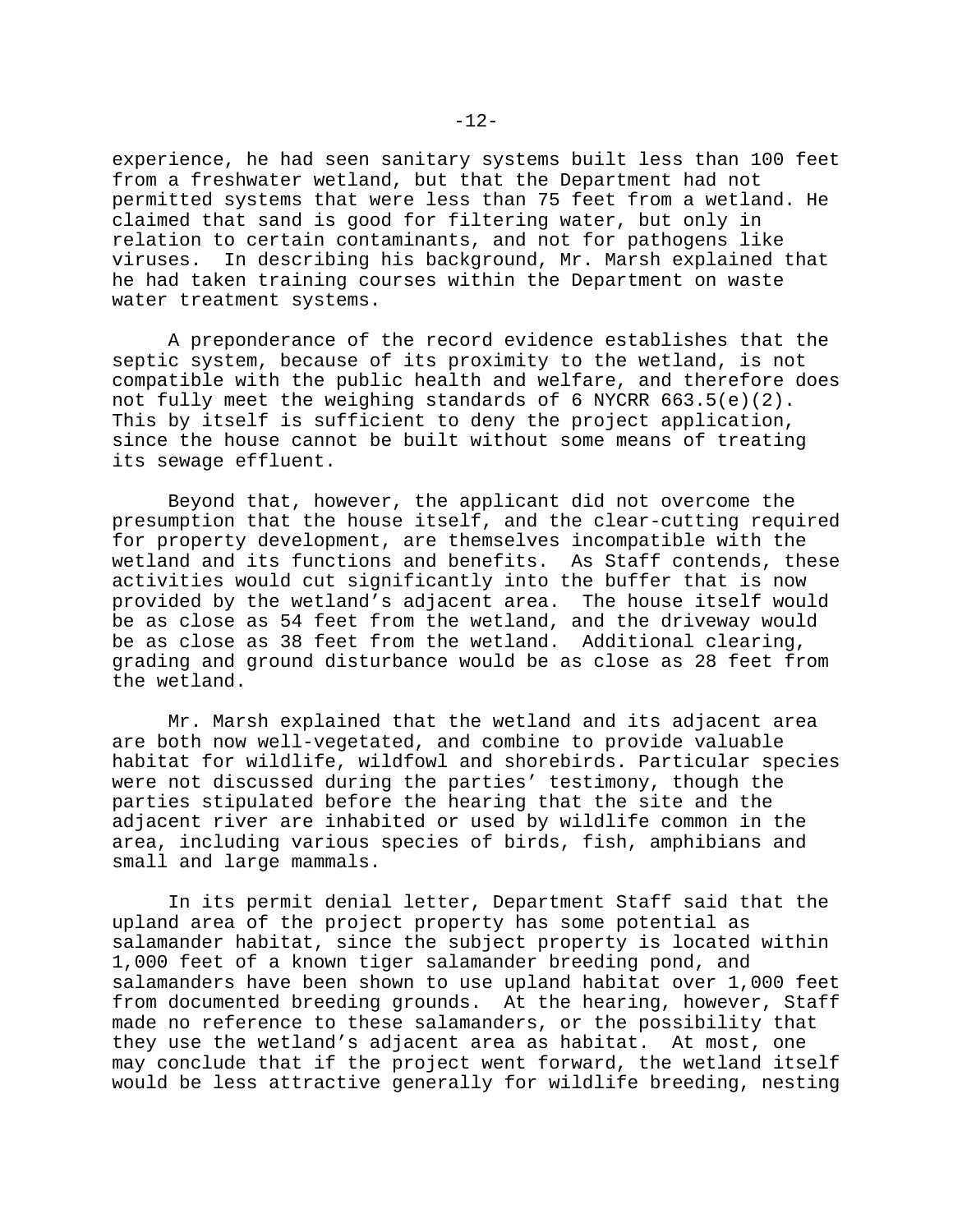experience, he had seen sanitary systems built less than 100 feet from a freshwater wetland, but that the Department had not permitted systems that were less than 75 feet from a wetland. He claimed that sand is good for filtering water, but only in relation to certain contaminants, and not for pathogens like viruses. In describing his background, Mr. Marsh explained that he had taken training courses within the Department on waste water treatment systems.

A preponderance of the record evidence establishes that the septic system, because of its proximity to the wetland, is not compatible with the public health and welfare, and therefore does not fully meet the weighing standards of 6 NYCRR 663.5(e)(2). This by itself is sufficient to deny the project application, since the house cannot be built without some means of treating its sewage effluent.

Beyond that, however, the applicant did not overcome the presumption that the house itself, and the clear-cutting required for property development, are themselves incompatible with the wetland and its functions and benefits. As Staff contends, these activities would cut significantly into the buffer that is now provided by the wetland's adjacent area. The house itself would be as close as 54 feet from the wetland, and the driveway would be as close as 38 feet from the wetland. Additional clearing, grading and ground disturbance would be as close as 28 feet from the wetland.

Mr. Marsh explained that the wetland and its adjacent area are both now well-vegetated, and combine to provide valuable habitat for wildlife, wildfowl and shorebirds. Particular species were not discussed during the parties' testimony, though the parties stipulated before the hearing that the site and the adjacent river are inhabited or used by wildlife common in the area, including various species of birds, fish, amphibians and small and large mammals.

In its permit denial letter, Department Staff said that the upland area of the project property has some potential as salamander habitat, since the subject property is located within 1,000 feet of a known tiger salamander breeding pond, and salamanders have been shown to use upland habitat over 1,000 feet from documented breeding grounds. At the hearing, however, Staff made no reference to these salamanders, or the possibility that they use the wetland's adjacent area as habitat. At most, one may conclude that if the project went forward, the wetland itself would be less attractive generally for wildlife breeding, nesting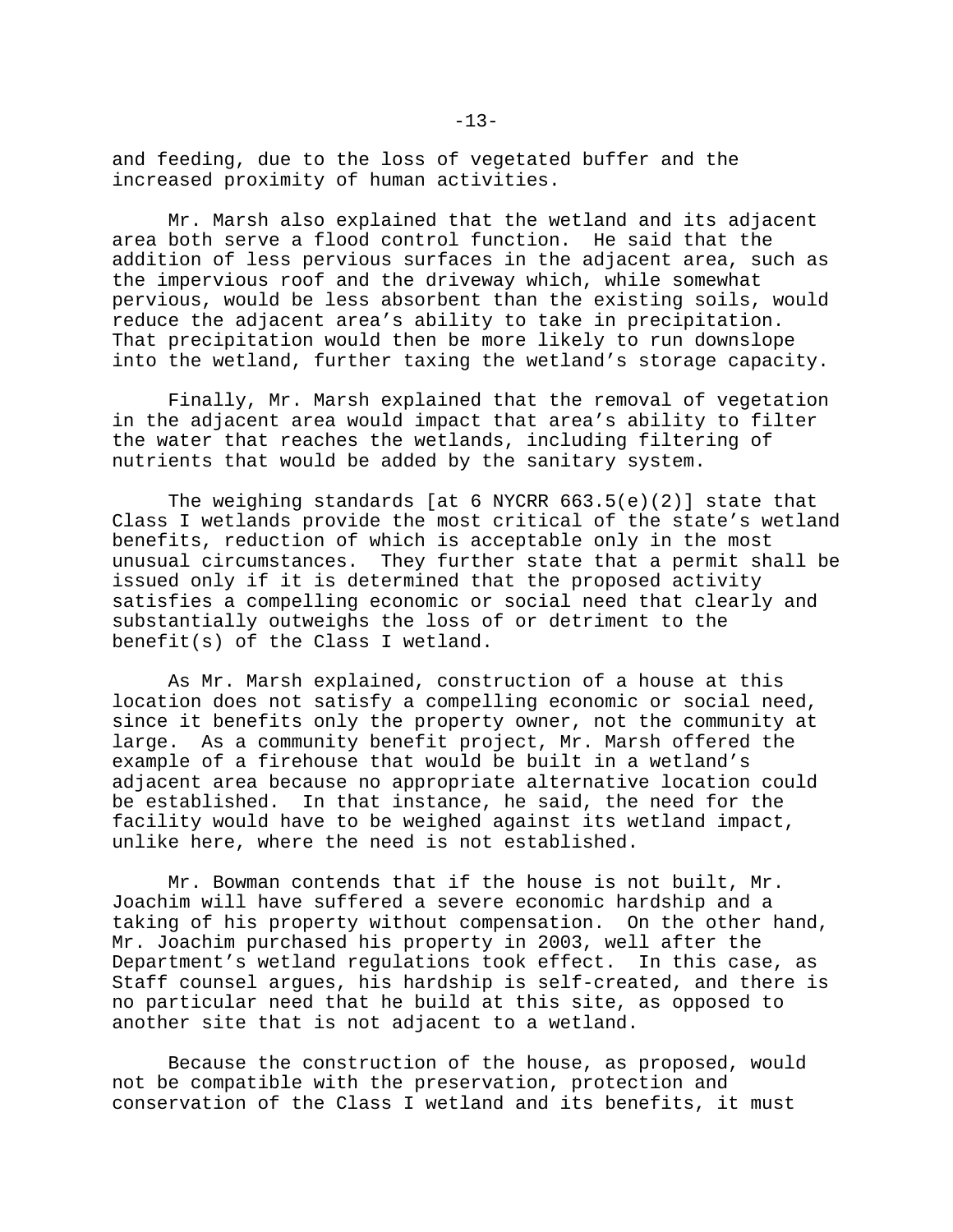and feeding, due to the loss of vegetated buffer and the increased proximity of human activities.

Mr. Marsh also explained that the wetland and its adjacent area both serve a flood control function. He said that the addition of less pervious surfaces in the adjacent area, such as the impervious roof and the driveway which, while somewhat pervious, would be less absorbent than the existing soils, would reduce the adjacent area's ability to take in precipitation. That precipitation would then be more likely to run downslope into the wetland, further taxing the wetland's storage capacity.

Finally, Mr. Marsh explained that the removal of vegetation in the adjacent area would impact that area's ability to filter the water that reaches the wetlands, including filtering of nutrients that would be added by the sanitary system.

The weighing standards [at 6 NYCRR 663.5(e)(2)] state that Class I wetlands provide the most critical of the state's wetland benefits, reduction of which is acceptable only in the most unusual circumstances. They further state that a permit shall be issued only if it is determined that the proposed activity satisfies a compelling economic or social need that clearly and substantially outweighs the loss of or detriment to the benefit(s) of the Class I wetland.

As Mr. Marsh explained, construction of a house at this location does not satisfy a compelling economic or social need, since it benefits only the property owner, not the community at large. As a community benefit project, Mr. Marsh offered the example of a firehouse that would be built in a wetland's adjacent area because no appropriate alternative location could be established. In that instance, he said, the need for the facility would have to be weighed against its wetland impact, unlike here, where the need is not established.

Mr. Bowman contends that if the house is not built, Mr. Joachim will have suffered a severe economic hardship and a taking of his property without compensation. On the other hand, Mr. Joachim purchased his property in 2003, well after the Department's wetland regulations took effect. In this case, as Staff counsel argues, his hardship is self-created, and there is no particular need that he build at this site, as opposed to another site that is not adjacent to a wetland.

Because the construction of the house, as proposed, would not be compatible with the preservation, protection and conservation of the Class I wetland and its benefits, it must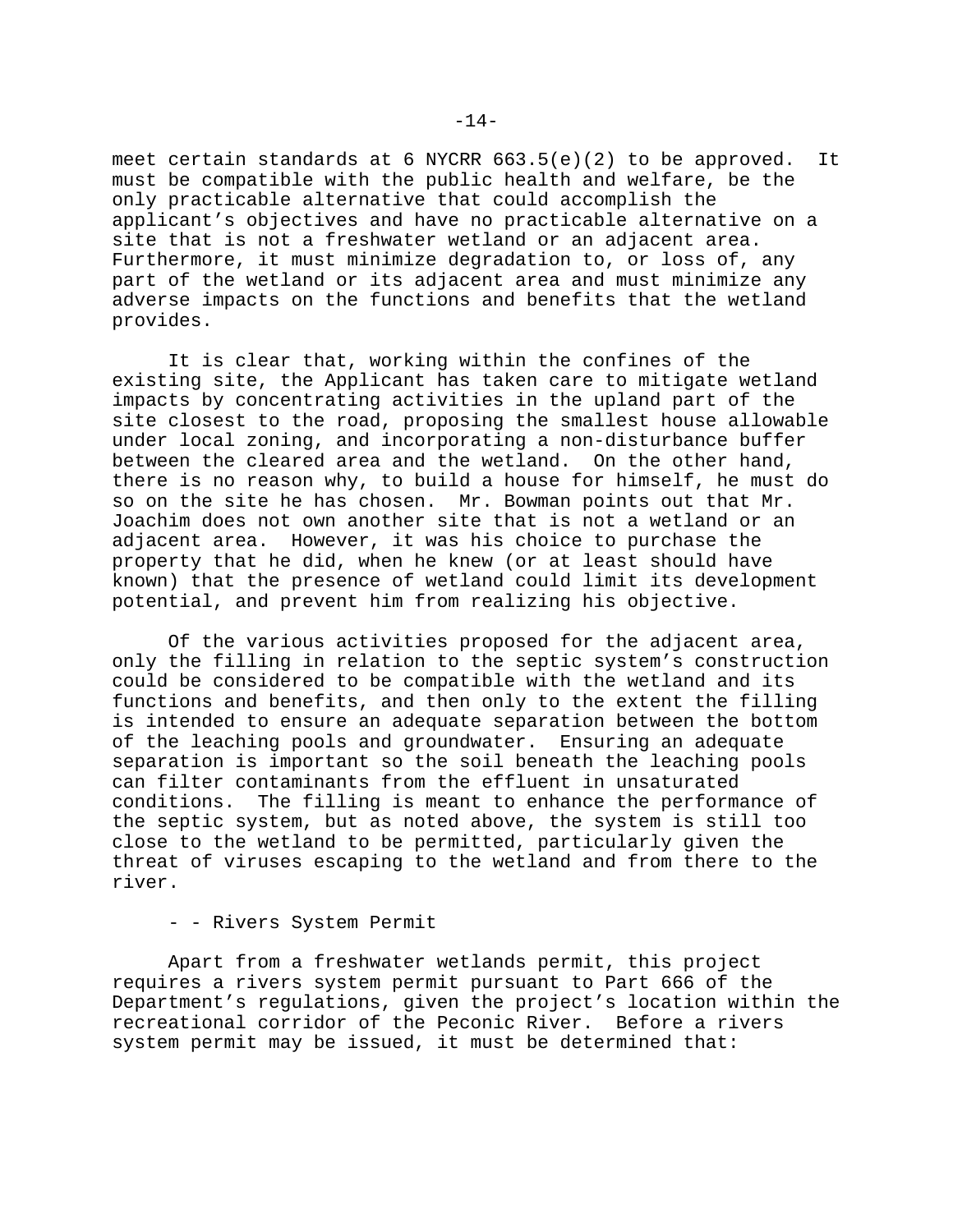meet certain standards at 6 NYCRR 663.5(e)(2) to be approved. It must be compatible with the public health and welfare, be the only practicable alternative that could accomplish the applicant's objectives and have no practicable alternative on a site that is not a freshwater wetland or an adjacent area. Furthermore, it must minimize degradation to, or loss of, any part of the wetland or its adjacent area and must minimize any adverse impacts on the functions and benefits that the wetland provides.

It is clear that, working within the confines of the existing site, the Applicant has taken care to mitigate wetland impacts by concentrating activities in the upland part of the site closest to the road, proposing the smallest house allowable under local zoning, and incorporating a non-disturbance buffer between the cleared area and the wetland. On the other hand, there is no reason why, to build a house for himself, he must do so on the site he has chosen. Mr. Bowman points out that Mr. Joachim does not own another site that is not a wetland or an adjacent area. However, it was his choice to purchase the property that he did, when he knew (or at least should have known) that the presence of wetland could limit its development potential, and prevent him from realizing his objective.

Of the various activities proposed for the adjacent area, only the filling in relation to the septic system's construction could be considered to be compatible with the wetland and its functions and benefits, and then only to the extent the filling is intended to ensure an adequate separation between the bottom of the leaching pools and groundwater. Ensuring an adequate separation is important so the soil beneath the leaching pools can filter contaminants from the effluent in unsaturated conditions. The filling is meant to enhance the performance of the septic system, but as noted above, the system is still too close to the wetland to be permitted, particularly given the threat of viruses escaping to the wetland and from there to the river.

### - - Rivers System Permit

Apart from a freshwater wetlands permit, this project requires a rivers system permit pursuant to Part 666 of the Department's regulations, given the project's location within the recreational corridor of the Peconic River. Before a rivers system permit may be issued, it must be determined that: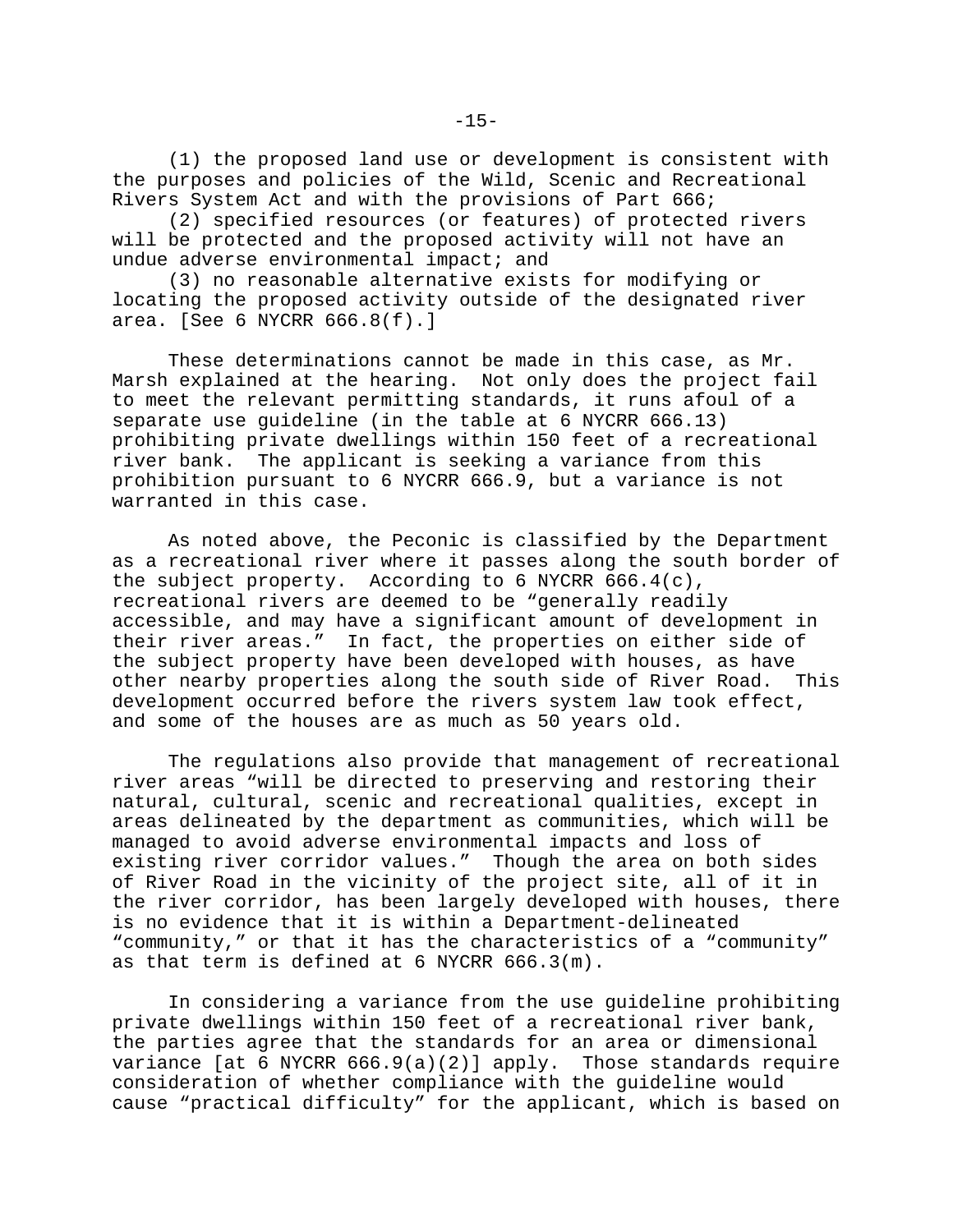(1) the proposed land use or development is consistent with the purposes and policies of the Wild, Scenic and Recreational Rivers System Act and with the provisions of Part 666;

(2) specified resources (or features) of protected rivers will be protected and the proposed activity will not have an undue adverse environmental impact; and

(3) no reasonable alternative exists for modifying or locating the proposed activity outside of the designated river area. [See 6 NYCRR 666.8(f).]

These determinations cannot be made in this case, as Mr. Marsh explained at the hearing. Not only does the project fail to meet the relevant permitting standards, it runs afoul of a separate use guideline (in the table at 6 NYCRR 666.13) prohibiting private dwellings within 150 feet of a recreational river bank. The applicant is seeking a variance from this prohibition pursuant to 6 NYCRR 666.9, but a variance is not warranted in this case.

As noted above, the Peconic is classified by the Department as a recreational river where it passes along the south border of the subject property. According to 6 NYCRR 666.4(c), recreational rivers are deemed to be "generally readily accessible, and may have a significant amount of development in their river areas." In fact, the properties on either side of the subject property have been developed with houses, as have other nearby properties along the south side of River Road. This development occurred before the rivers system law took effect, and some of the houses are as much as 50 years old.

The regulations also provide that management of recreational river areas "will be directed to preserving and restoring their natural, cultural, scenic and recreational qualities, except in areas delineated by the department as communities, which will be managed to avoid adverse environmental impacts and loss of existing river corridor values." Though the area on both sides of River Road in the vicinity of the project site, all of it in the river corridor, has been largely developed with houses, there is no evidence that it is within a Department-delineated "community," or that it has the characteristics of a "community" as that term is defined at 6 NYCRR 666.3(m).

In considering a variance from the use guideline prohibiting private dwellings within 150 feet of a recreational river bank, the parties agree that the standards for an area or dimensional variance [at 6 NYCRR  $666.9(a)(2)$ ] apply. Those standards require consideration of whether compliance with the guideline would cause "practical difficulty" for the applicant, which is based on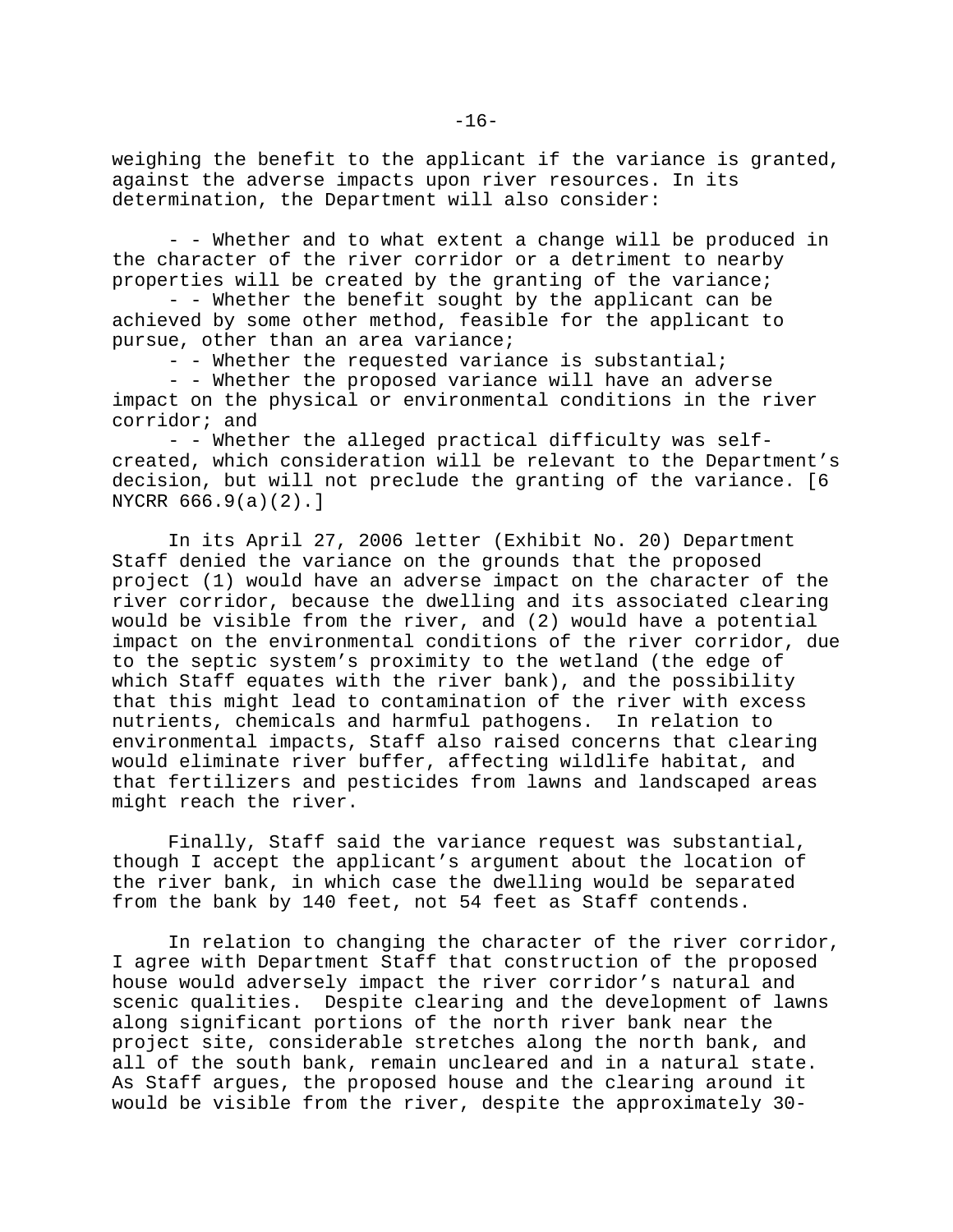weighing the benefit to the applicant if the variance is granted, against the adverse impacts upon river resources. In its determination, the Department will also consider:

- - Whether and to what extent a change will be produced in the character of the river corridor or a detriment to nearby properties will be created by the granting of the variance;

- - Whether the benefit sought by the applicant can be achieved by some other method, feasible for the applicant to pursue, other than an area variance;

- - Whether the requested variance is substantial;

- - Whether the proposed variance will have an adverse impact on the physical or environmental conditions in the river corridor; and

- - Whether the alleged practical difficulty was selfcreated, which consideration will be relevant to the Department's decision, but will not preclude the granting of the variance. [6 NYCRR 666.9(a)(2).]

In its April 27, 2006 letter (Exhibit No. 20) Department Staff denied the variance on the grounds that the proposed project (1) would have an adverse impact on the character of the river corridor, because the dwelling and its associated clearing would be visible from the river, and (2) would have a potential impact on the environmental conditions of the river corridor, due to the septic system's proximity to the wetland (the edge of which Staff equates with the river bank), and the possibility that this might lead to contamination of the river with excess nutrients, chemicals and harmful pathogens. In relation to environmental impacts, Staff also raised concerns that clearing would eliminate river buffer, affecting wildlife habitat, and that fertilizers and pesticides from lawns and landscaped areas might reach the river.

Finally, Staff said the variance request was substantial, though I accept the applicant's argument about the location of the river bank, in which case the dwelling would be separated from the bank by 140 feet, not 54 feet as Staff contends.

In relation to changing the character of the river corridor, I agree with Department Staff that construction of the proposed house would adversely impact the river corridor's natural and scenic qualities. Despite clearing and the development of lawns along significant portions of the north river bank near the project site, considerable stretches along the north bank, and all of the south bank, remain uncleared and in a natural state. As Staff argues, the proposed house and the clearing around it would be visible from the river, despite the approximately 30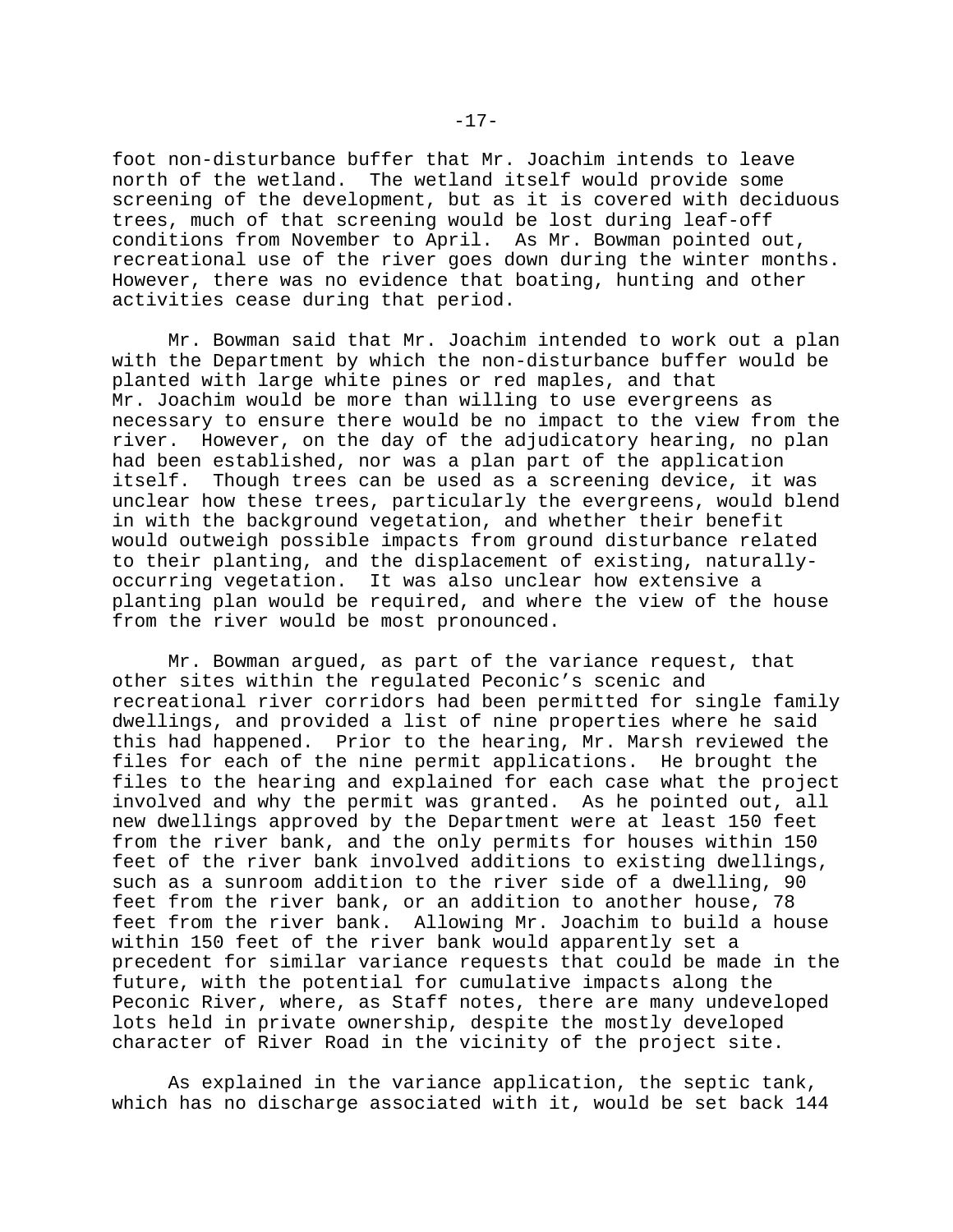foot non-disturbance buffer that Mr. Joachim intends to leave north of the wetland. The wetland itself would provide some screening of the development, but as it is covered with deciduous trees, much of that screening would be lost during leaf-off conditions from November to April. As Mr. Bowman pointed out, recreational use of the river goes down during the winter months. However, there was no evidence that boating, hunting and other activities cease during that period.

Mr. Bowman said that Mr. Joachim intended to work out a plan with the Department by which the non-disturbance buffer would be planted with large white pines or red maples, and that Mr. Joachim would be more than willing to use evergreens as necessary to ensure there would be no impact to the view from the river. However, on the day of the adjudicatory hearing, no plan had been established, nor was a plan part of the application itself. Though trees can be used as a screening device, it was unclear how these trees, particularly the evergreens, would blend in with the background vegetation, and whether their benefit would outweigh possible impacts from ground disturbance related to their planting, and the displacement of existing, naturallyoccurring vegetation. It was also unclear how extensive a planting plan would be required, and where the view of the house from the river would be most pronounced.

Mr. Bowman argued, as part of the variance request, that other sites within the regulated Peconic's scenic and recreational river corridors had been permitted for single family dwellings, and provided a list of nine properties where he said this had happened. Prior to the hearing, Mr. Marsh reviewed the files for each of the nine permit applications. He brought the files to the hearing and explained for each case what the project involved and why the permit was granted. As he pointed out, all new dwellings approved by the Department were at least 150 feet from the river bank, and the only permits for houses within 150 feet of the river bank involved additions to existing dwellings, such as a sunroom addition to the river side of a dwelling, 90 feet from the river bank, or an addition to another house, 78 feet from the river bank. Allowing Mr. Joachim to build a house within 150 feet of the river bank would apparently set a precedent for similar variance requests that could be made in the future, with the potential for cumulative impacts along the Peconic River, where, as Staff notes, there are many undeveloped lots held in private ownership, despite the mostly developed character of River Road in the vicinity of the project site.

As explained in the variance application, the septic tank, which has no discharge associated with it, would be set back 144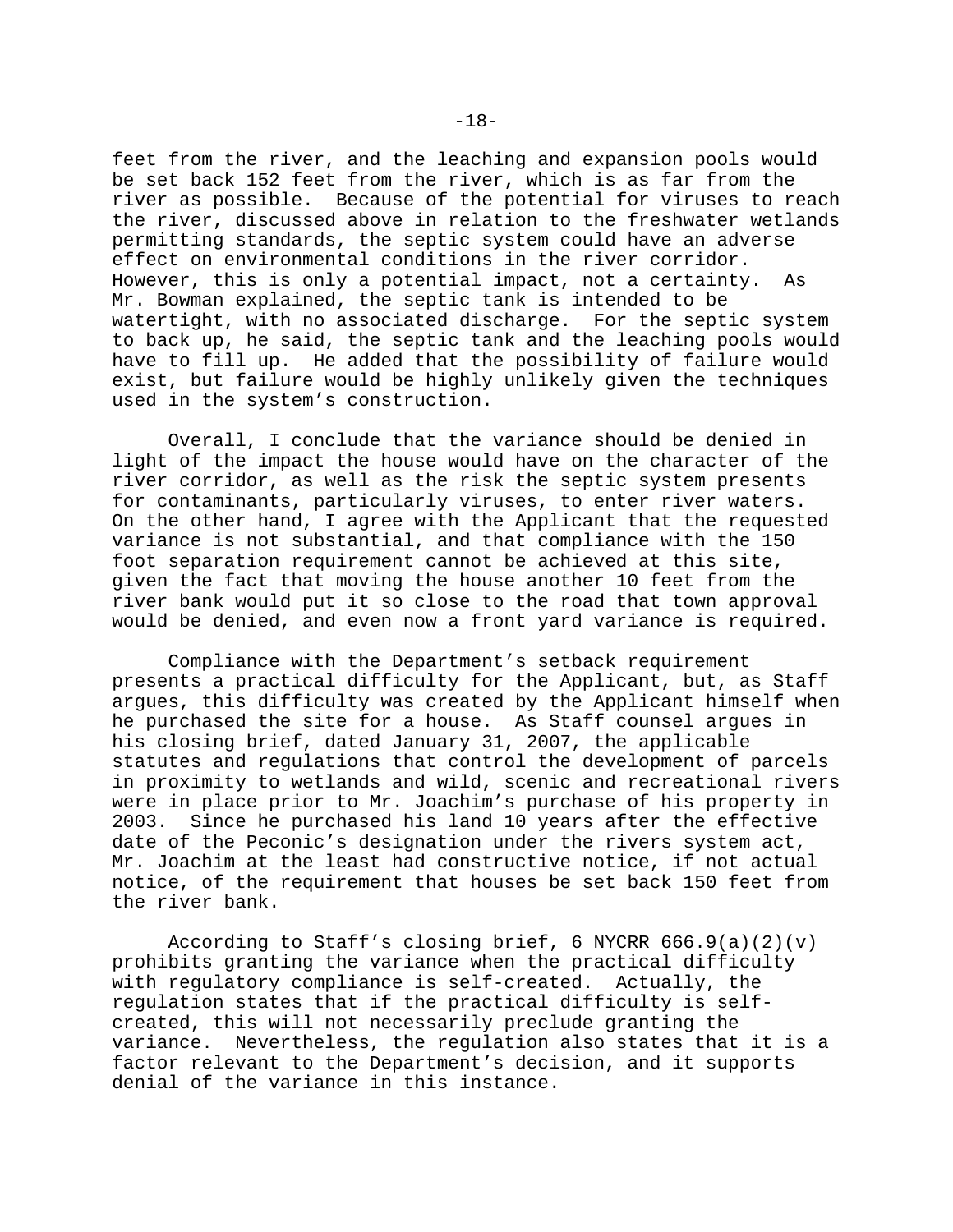feet from the river, and the leaching and expansion pools would be set back 152 feet from the river, which is as far from the river as possible. Because of the potential for viruses to reach the river, discussed above in relation to the freshwater wetlands permitting standards, the septic system could have an adverse effect on environmental conditions in the river corridor. However, this is only a potential impact, not a certainty. As Mr. Bowman explained, the septic tank is intended to be watertight, with no associated discharge. For the septic system to back up, he said, the septic tank and the leaching pools would have to fill up. He added that the possibility of failure would exist, but failure would be highly unlikely given the techniques used in the system's construction.

Overall, I conclude that the variance should be denied in light of the impact the house would have on the character of the river corridor, as well as the risk the septic system presents for contaminants, particularly viruses, to enter river waters. On the other hand, I agree with the Applicant that the requested variance is not substantial, and that compliance with the 150 foot separation requirement cannot be achieved at this site, given the fact that moving the house another 10 feet from the river bank would put it so close to the road that town approval would be denied, and even now a front yard variance is required.

Compliance with the Department's setback requirement presents a practical difficulty for the Applicant, but, as Staff argues, this difficulty was created by the Applicant himself when he purchased the site for a house. As Staff counsel argues in his closing brief, dated January 31, 2007, the applicable statutes and regulations that control the development of parcels in proximity to wetlands and wild, scenic and recreational rivers were in place prior to Mr. Joachim's purchase of his property in 2003. Since he purchased his land 10 years after the effective date of the Peconic's designation under the rivers system act, Mr. Joachim at the least had constructive notice, if not actual notice, of the requirement that houses be set back 150 feet from the river bank.

According to Staff's closing brief, 6 NYCRR  $666.9(a)(2)(v)$ prohibits granting the variance when the practical difficulty with regulatory compliance is self-created. Actually, the regulation states that if the practical difficulty is selfcreated, this will not necessarily preclude granting the variance. Nevertheless, the regulation also states that it is a factor relevant to the Department's decision, and it supports denial of the variance in this instance.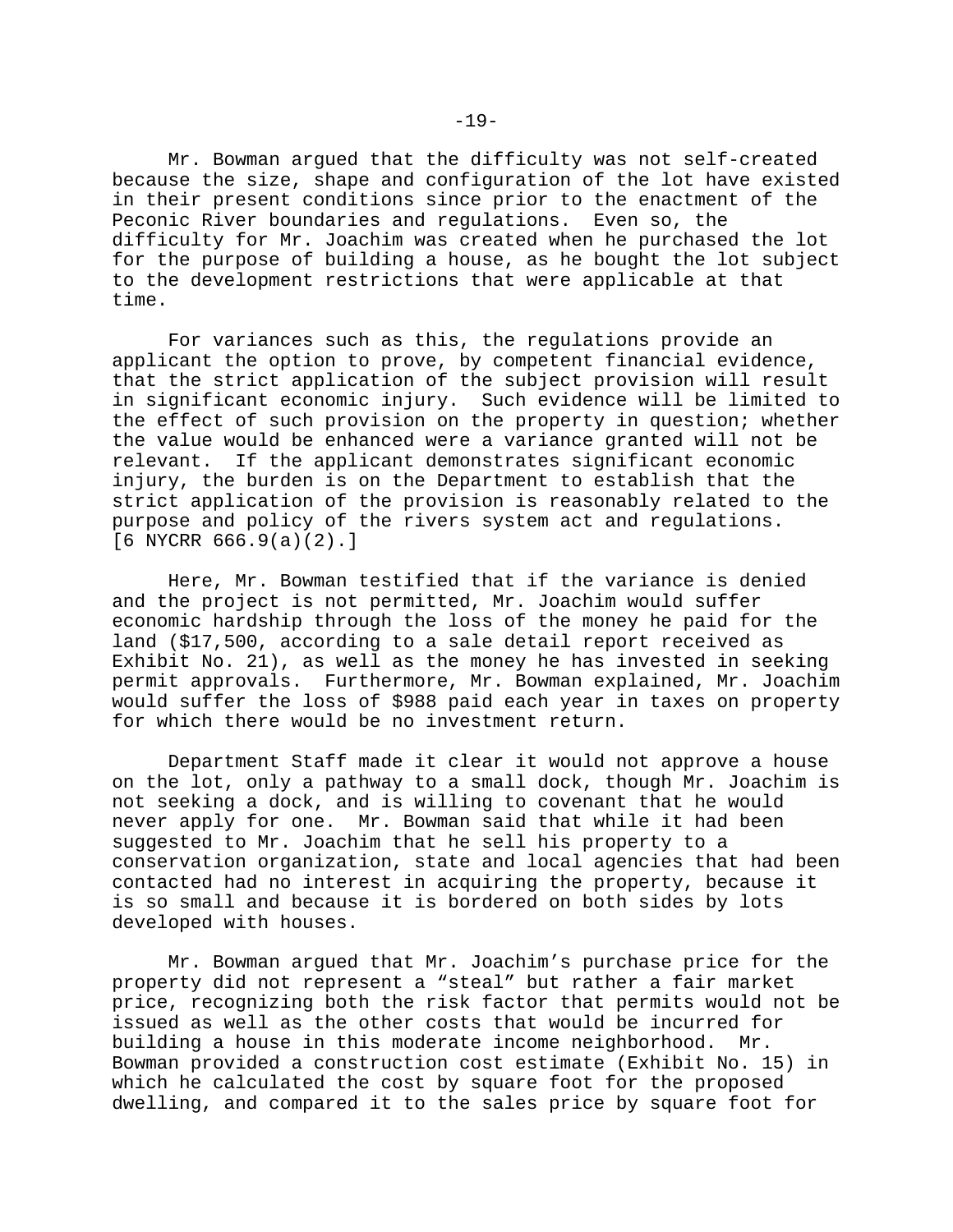Mr. Bowman argued that the difficulty was not self-created because the size, shape and configuration of the lot have existed in their present conditions since prior to the enactment of the Peconic River boundaries and regulations. Even so, the difficulty for Mr. Joachim was created when he purchased the lot for the purpose of building a house, as he bought the lot subject to the development restrictions that were applicable at that time.

For variances such as this, the regulations provide an applicant the option to prove, by competent financial evidence, that the strict application of the subject provision will result in significant economic injury. Such evidence will be limited to the effect of such provision on the property in question; whether the value would be enhanced were a variance granted will not be relevant. If the applicant demonstrates significant economic injury, the burden is on the Department to establish that the strict application of the provision is reasonably related to the purpose and policy of the rivers system act and regulations.  $[6$  NYCRR  $666.9(a)(2)$ .]

Here, Mr. Bowman testified that if the variance is denied and the project is not permitted, Mr. Joachim would suffer economic hardship through the loss of the money he paid for the land (\$17,500, according to a sale detail report received as Exhibit No. 21), as well as the money he has invested in seeking permit approvals. Furthermore, Mr. Bowman explained, Mr. Joachim would suffer the loss of \$988 paid each year in taxes on property for which there would be no investment return.

Department Staff made it clear it would not approve a house on the lot, only a pathway to a small dock, though Mr. Joachim is not seeking a dock, and is willing to covenant that he would never apply for one. Mr. Bowman said that while it had been suggested to Mr. Joachim that he sell his property to a conservation organization, state and local agencies that had been contacted had no interest in acquiring the property, because it is so small and because it is bordered on both sides by lots developed with houses.

Mr. Bowman argued that Mr. Joachim's purchase price for the property did not represent a "steal" but rather a fair market price, recognizing both the risk factor that permits would not be issued as well as the other costs that would be incurred for building a house in this moderate income neighborhood. Mr. Bowman provided a construction cost estimate (Exhibit No. 15) in which he calculated the cost by square foot for the proposed dwelling, and compared it to the sales price by square foot for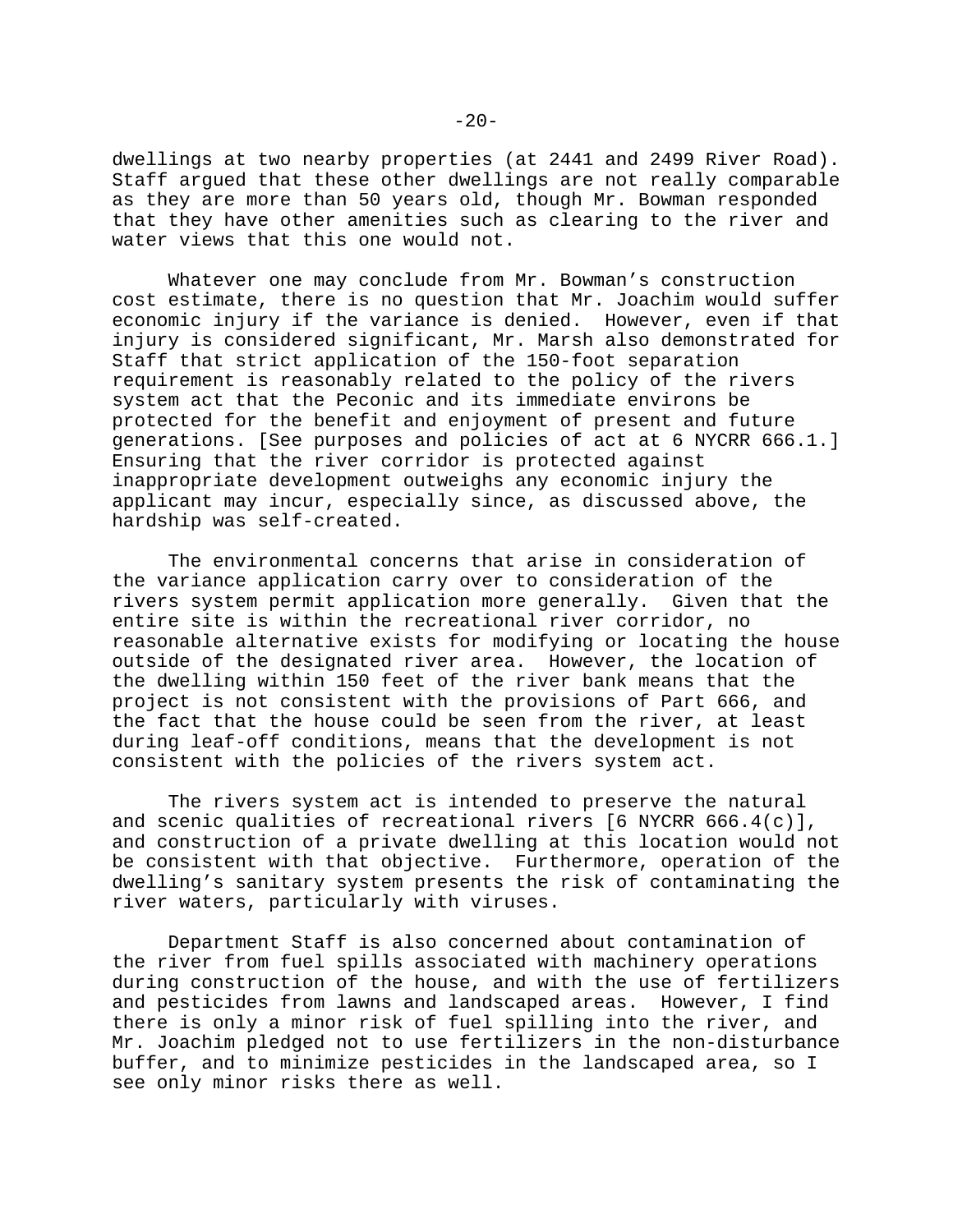dwellings at two nearby properties (at 2441 and 2499 River Road). Staff argued that these other dwellings are not really comparable as they are more than 50 years old, though Mr. Bowman responded that they have other amenities such as clearing to the river and water views that this one would not.

Whatever one may conclude from Mr. Bowman's construction cost estimate, there is no question that Mr. Joachim would suffer economic injury if the variance is denied. However, even if that injury is considered significant, Mr. Marsh also demonstrated for Staff that strict application of the 150-foot separation requirement is reasonably related to the policy of the rivers system act that the Peconic and its immediate environs be protected for the benefit and enjoyment of present and future generations. [See purposes and policies of act at 6 NYCRR 666.1.] Ensuring that the river corridor is protected against inappropriate development outweighs any economic injury the applicant may incur, especially since, as discussed above, the hardship was self-created.

The environmental concerns that arise in consideration of the variance application carry over to consideration of the rivers system permit application more generally. Given that the entire site is within the recreational river corridor, no reasonable alternative exists for modifying or locating the house outside of the designated river area. However, the location of the dwelling within 150 feet of the river bank means that the project is not consistent with the provisions of Part 666, and the fact that the house could be seen from the river, at least during leaf-off conditions, means that the development is not consistent with the policies of the rivers system act.

The rivers system act is intended to preserve the natural and scenic qualities of recreational rivers  $[6 \text{ NYCRR } 666.4(c)],$ and construction of a private dwelling at this location would not be consistent with that objective. Furthermore, operation of the dwelling's sanitary system presents the risk of contaminating the river waters, particularly with viruses.

Department Staff is also concerned about contamination of the river from fuel spills associated with machinery operations during construction of the house, and with the use of fertilizers and pesticides from lawns and landscaped areas. However, I find there is only a minor risk of fuel spilling into the river, and Mr. Joachim pledged not to use fertilizers in the non-disturbance buffer, and to minimize pesticides in the landscaped area, so I see only minor risks there as well.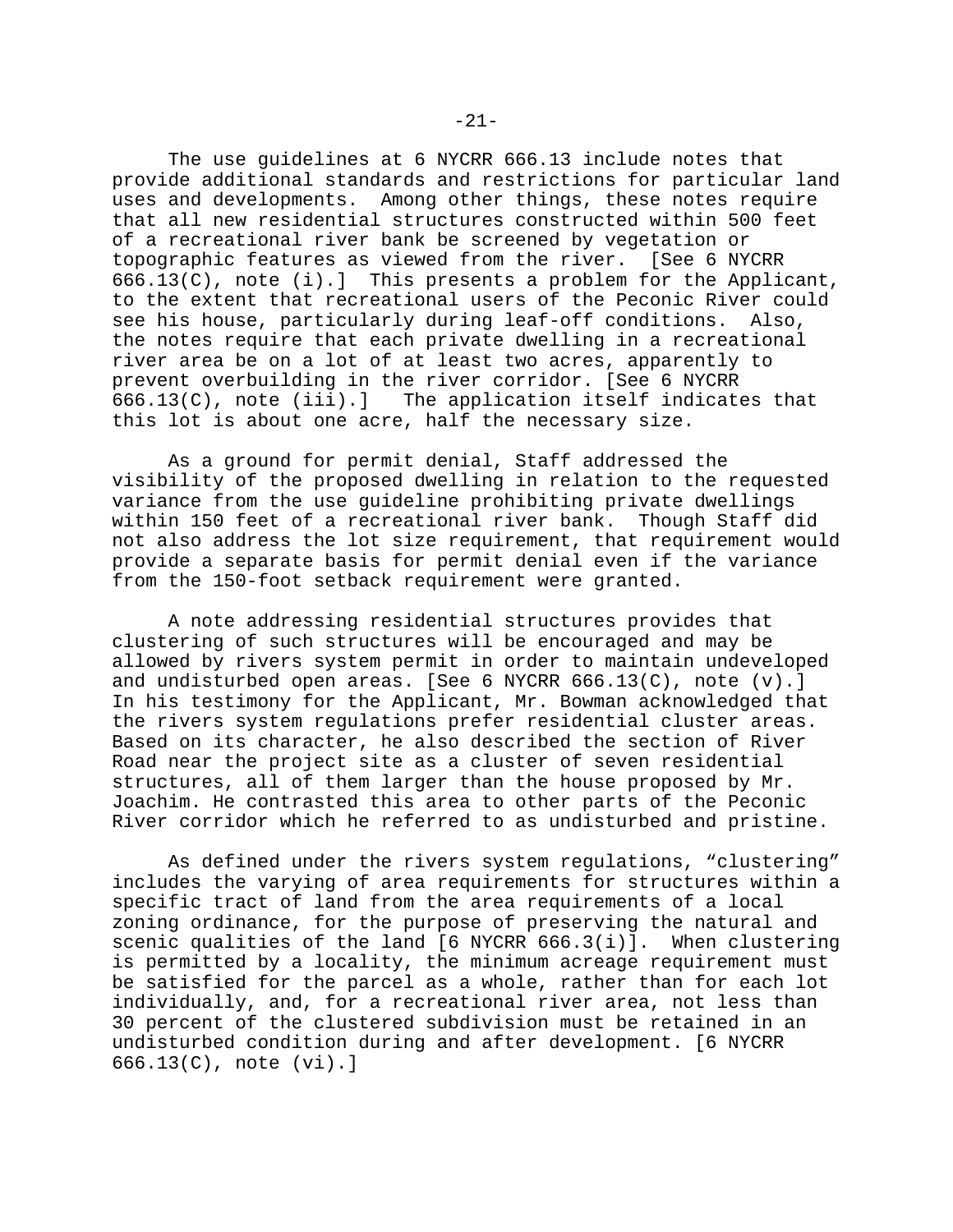The use guidelines at 6 NYCRR 666.13 include notes that provide additional standards and restrictions for particular land uses and developments. Among other things, these notes require that all new residential structures constructed within 500 feet of a recreational river bank be screened by vegetation or topographic features as viewed from the river. [See 6 NYCRR 666.13(C), note (i).] This presents a problem for the Applicant, to the extent that recreational users of the Peconic River could see his house, particularly during leaf-off conditions. Also, the notes require that each private dwelling in a recreational river area be on a lot of at least two acres, apparently to prevent overbuilding in the river corridor. [See 6 NYCRR 666.13(C), note (iii).] The application itself indicates that this lot is about one acre, half the necessary size.

As a ground for permit denial, Staff addressed the visibility of the proposed dwelling in relation to the requested variance from the use guideline prohibiting private dwellings within 150 feet of a recreational river bank. Though Staff did not also address the lot size requirement, that requirement would provide a separate basis for permit denial even if the variance from the 150-foot setback requirement were granted.

A note addressing residential structures provides that clustering of such structures will be encouraged and may be allowed by rivers system permit in order to maintain undeveloped and undisturbed open areas. [See 6 NYCRR 666.13(C), note (v).] In his testimony for the Applicant, Mr. Bowman acknowledged that the rivers system regulations prefer residential cluster areas. Based on its character, he also described the section of River Road near the project site as a cluster of seven residential structures, all of them larger than the house proposed by Mr. Joachim. He contrasted this area to other parts of the Peconic River corridor which he referred to as undisturbed and pristine.

As defined under the rivers system regulations, "clustering" includes the varying of area requirements for structures within a specific tract of land from the area requirements of a local zoning ordinance, for the purpose of preserving the natural and scenic qualities of the land [6 NYCRR 666.3(i)]. When clustering is permitted by a locality, the minimum acreage requirement must be satisfied for the parcel as a whole, rather than for each lot individually, and, for a recreational river area, not less than 30 percent of the clustered subdivision must be retained in an undisturbed condition during and after development. [6 NYCRR 666.13(C), note (vi).]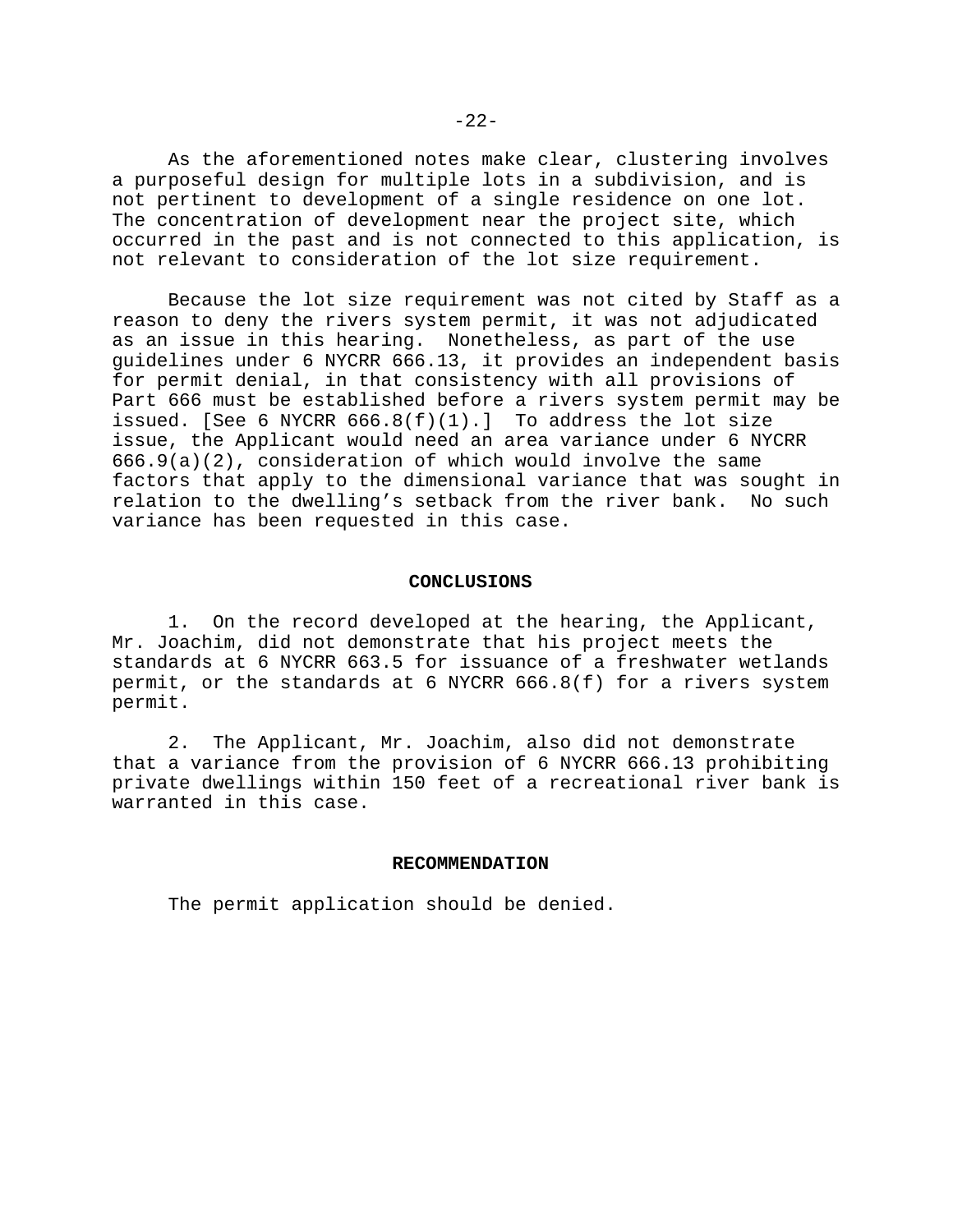As the aforementioned notes make clear, clustering involves a purposeful design for multiple lots in a subdivision, and is not pertinent to development of a single residence on one lot. The concentration of development near the project site, which occurred in the past and is not connected to this application, is not relevant to consideration of the lot size requirement.

Because the lot size requirement was not cited by Staff as a reason to deny the rivers system permit, it was not adjudicated as an issue in this hearing. Nonetheless, as part of the use guidelines under 6 NYCRR 666.13, it provides an independent basis for permit denial, in that consistency with all provisions of Part 666 must be established before a rivers system permit may be issued. [See 6 NYCRR  $666.8(f)(1)$ .] To address the lot size issue, the Applicant would need an area variance under 6 NYCRR 666.9(a)(2), consideration of which would involve the same factors that apply to the dimensional variance that was sought in relation to the dwelling's setback from the river bank. No such variance has been requested in this case.

### **CONCLUSIONS**

1. On the record developed at the hearing, the Applicant, Mr. Joachim, did not demonstrate that his project meets the standards at 6 NYCRR 663.5 for issuance of a freshwater wetlands permit, or the standards at 6 NYCRR 666.8(f) for a rivers system permit.

2. The Applicant, Mr. Joachim, also did not demonstrate that a variance from the provision of 6 NYCRR 666.13 prohibiting private dwellings within 150 feet of a recreational river bank is warranted in this case.

#### **RECOMMENDATION**

The permit application should be denied.